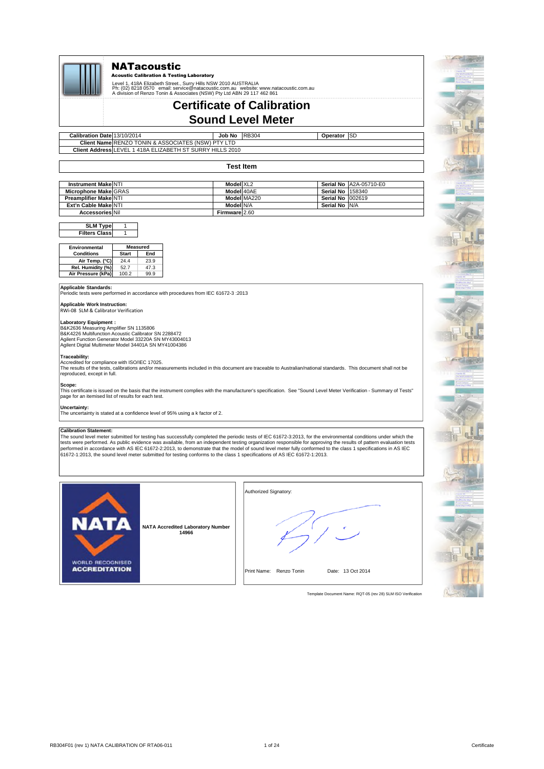

### **NATacoustic**

Acoustic Calibration & Testing Laboratory

Level 1, 418A Elizabeth Street., Surry Hills NSW 2010 AUSTRALIA<br>Ph: (02) 8218 0570 email: service@natacoustic.com.au website: www.natacoustic.com.au<br>A division of Renzo Tonin & Associates (NSW) Pty Ltd ABN 29 117 462 8

## **Certificate of Calibration Sound Level Meter**

13/10/2014 **Company Company 13/10/2014 Operator Calibration Date Client Name RENZO TONIN & ASSOCIATES (NSW) PTY LTD Client Address** LEVEL 1 418A ELIZABETH ST SURRY HILLS 2010

#### **Test Item**

Operator SD

| <b>Instrument Make NTI</b>   | Model XL2     |             |                          | Serial No IA2A-05710-E0 |
|------------------------------|---------------|-------------|--------------------------|-------------------------|
| Microphone Make GRAS         | Model 40AE    |             | Serial No 158340         |                         |
| <b>Preamplifier Make NTI</b> |               | Model MA220 | <b>Serial No 1002619</b> |                         |
| Ext'n Cable Make NTI         | Model N/A     |             | Serial No N/A            |                         |
| <b>Accessories Nil</b>       | Firmware 2.60 |             |                          |                         |

#### $\overline{1}$  $\overline{1}$ **Filters Class SLM Type**

| <b>Environmental</b> | <b>Measured</b> |      |  |
|----------------------|-----------------|------|--|
| <b>Conditions</b>    | <b>Start</b>    | End  |  |
| Air Temp. (°C)       | 24.4            | 23.9 |  |
| Rel. Humidity (%)    | 52.7            | 47.3 |  |
| Air Pressure (kPa)   | 100.2           | 99.9 |  |

**Applicable Standards:** Periodic tests were performed in accordance with procedures from IEC 61672-3 :2013

**Applicable Work Instruction:** RWi-08 SLM & Calibrator Verification

**Laboratory Equipment :**<br>B&K2636 Measuring Amplifier SN 1135806<br>B&K4226 Multifunction Acoustic Calibrator SN 2288472 Agilent Function Generator Model 33220A SN MY43004013 Agilent Digital Multimeter Model 34401A SN MY41004386

### **Traceability:**

Accredited for compliance with ISO/IEC 17025.<br>The results of the tests, calibrations and/or measurements included in this document are traceable to Australian/national standards. This document shall not be reproduced, except in full.

#### **Scope:**

This certificate is issued on the basis that the instrument complies with the manufacturer's specification. See "Sound Level Meter Verification - Summary of Tests" page for an itemised list of results for each test.

**Uncertainty:** The uncertainty is stated at a confidence level of 95% using a k factor of 2.

#### **Calibration State**

**WORLD RECOGNISED ACCREDITATION** 

The sound level meter submitted for testing has successfully completed the periodic tests of IEC 61672-3:2013, for the environmental conditions under which the tests were performed. As public evidence was available, from an independent testing organization responsible for approving the results of pattern evaluation tests<br>performed in accordance with AS IEC 61672-2:2013, to demons

Authorized Signatory: **NAT NATA Accredited Laboratory Number 14966**

Print Name: Renzo Tonin Date: 13 Oct 2014

Template Document Name: RQT-05 (rev 28) SLM ISO Verification

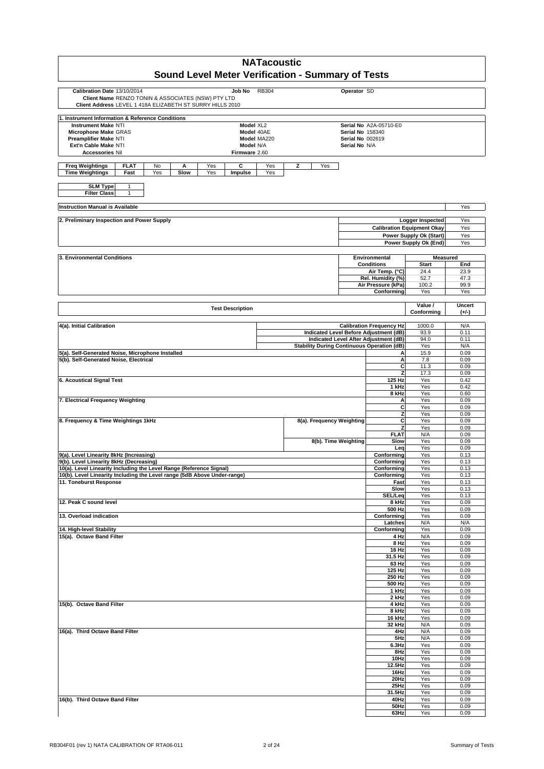| <b>NATacoustic</b>                                                                                              |             |                                                   |                                                    |                                                                                 |                                                       |               |
|-----------------------------------------------------------------------------------------------------------------|-------------|---------------------------------------------------|----------------------------------------------------|---------------------------------------------------------------------------------|-------------------------------------------------------|---------------|
| Sound Level Meter Verification - Summary of Tests                                                               |             |                                                   |                                                    |                                                                                 |                                                       |               |
| Calibration Date 13/10/2014<br>Job No                                                                           | RB304       |                                                   | Operator SD                                        |                                                                                 |                                                       |               |
| Client Name RENZO TONIN & ASSOCIATES (NSW) PTY LTD<br>Client Address LEVEL 1 418A ELIZABETH ST SURRY HILLS 2010 |             |                                                   |                                                    |                                                                                 |                                                       |               |
| 1. Instrument Information & Reference Conditions                                                                |             |                                                   |                                                    |                                                                                 |                                                       |               |
| <b>Instrument Make NTI</b><br>Model XL2                                                                         |             |                                                   |                                                    | Serial No A2A-05710-E0                                                          |                                                       |               |
| Model 40AE<br>Microphone Make GRAS<br>Preamplifier Make NTI                                                     | Model MA220 |                                                   | <b>Serial No 158340</b><br><b>Serial No 002619</b> |                                                                                 |                                                       |               |
| Model N/A<br>Ext'n Cable Make NTI                                                                               |             |                                                   | Serial No N/A                                      |                                                                                 |                                                       |               |
| Firmware 2.60<br><b>Accessories Nil</b>                                                                         |             |                                                   |                                                    |                                                                                 |                                                       |               |
| <b>Freq Weightings</b><br><b>FLAT</b><br>С<br>No<br>A<br>Yes                                                    | Yes         | z<br>Yes                                          |                                                    |                                                                                 |                                                       |               |
| <b>Time Weightings</b><br>Slow<br>Yes<br>Fast<br>Yes<br>Impulse                                                 | Yes         |                                                   |                                                    |                                                                                 |                                                       |               |
| <b>SLM Type</b><br>$\mathbf{1}$<br><b>Filter Class</b><br>1                                                     |             |                                                   |                                                    |                                                                                 |                                                       |               |
|                                                                                                                 |             |                                                   |                                                    |                                                                                 |                                                       |               |
| <b>Instruction Manual is Available</b>                                                                          |             |                                                   |                                                    |                                                                                 |                                                       | Yes           |
| 2. Preliminary Inspection and Power Supply                                                                      |             |                                                   |                                                    |                                                                                 | Logger Inspected<br><b>Calibration Equipment Okay</b> | Yes<br>Yes    |
|                                                                                                                 |             |                                                   |                                                    |                                                                                 | Power Supply Ok (Start)                               | Yes           |
|                                                                                                                 |             |                                                   |                                                    |                                                                                 | Power Supply Ok (End)                                 | Yes           |
| 3. Environmental Conditions                                                                                     |             |                                                   |                                                    | Environmental                                                                   | <b>Measured</b>                                       |               |
|                                                                                                                 |             |                                                   |                                                    | <b>Conditions</b>                                                               | <b>Start</b>                                          | End           |
|                                                                                                                 |             |                                                   |                                                    | Air Temp. (°C)                                                                  | 24.4                                                  | 23.9          |
|                                                                                                                 |             |                                                   |                                                    | Rel. Humidity (%)<br>Air Pressure (kPa)                                         | 52.7<br>100.2                                         | 47.3<br>99.9  |
|                                                                                                                 |             |                                                   |                                                    | Conforming                                                                      | Yes                                                   | Yes           |
| <b>Test Description</b>                                                                                         |             |                                                   |                                                    |                                                                                 | Value /                                               | <b>Uncert</b> |
|                                                                                                                 |             |                                                   |                                                    |                                                                                 | Conforming                                            | $(+/-)$       |
| 4(a). Initial Calibration                                                                                       |             |                                                   |                                                    | <b>Calibration Frequency Hz</b>                                                 | 1000.0                                                | N/A           |
|                                                                                                                 |             |                                                   |                                                    | Indicated Level Before Adjustment (dB)<br>Indicated Level After Adjustment (dB) | 93.9<br>94.0                                          | 0.11<br>0.11  |
|                                                                                                                 |             | <b>Stability During Continuous Operation (dB)</b> |                                                    |                                                                                 | Yes                                                   | N/A           |
| 5(a). Self-Generated Noise, Microphone Installed                                                                |             |                                                   |                                                    | Α                                                                               | 15.9                                                  | 0.09          |
| 5(b). Self-Generated Noise, Electrical                                                                          |             |                                                   |                                                    | A<br>С                                                                          | 7.8<br>11.3                                           | 0.09<br>0.09  |
|                                                                                                                 |             |                                                   |                                                    | z                                                                               | 17.3                                                  | 0.09          |
| 6. Acoustical Signal Test                                                                                       |             |                                                   |                                                    | 125 Hz                                                                          | Yes                                                   | 0.42          |
|                                                                                                                 |             |                                                   |                                                    | 1 kHz<br>8 kHz                                                                  | Yes<br>Yes                                            | 0.42<br>0.60  |
| 7. Electrical Frequency Weighting                                                                               |             |                                                   |                                                    | А                                                                               | Yes                                                   | 0.09          |
|                                                                                                                 |             |                                                   |                                                    | <b>C</b><br>z                                                                   | Yes<br>Yes                                            | 0.09<br>0.09  |
| 8. Frequency & Time Weightings 1kHz                                                                             |             | 8(a). Frequency Weighting                         |                                                    | C                                                                               | Yes                                                   | 0.09          |
|                                                                                                                 |             |                                                   |                                                    | z                                                                               | Yes                                                   | 0.09          |
|                                                                                                                 |             | 8(b). Time Weighting                              |                                                    | <b>FLAT</b><br>Slow                                                             | N/A<br>Yes                                            | 0.09<br>0.09  |
|                                                                                                                 |             |                                                   |                                                    | Leg                                                                             | Yes                                                   | 0.09          |
| 9(a). Level Linearity 8kHz (Increasing)<br>9(b). Level Linearity 8kHz (Decreasing)                              |             |                                                   |                                                    | Conformina<br>Conforming                                                        | Yes<br>Yes                                            | 0.13<br>0.13  |
| 10(a). Level Linearity Including the Level Range (Reference Signal)                                             |             |                                                   |                                                    | Conforming                                                                      | Yes                                                   | 0.13          |
| 10(b). Level Linearity Including the Level range (5dB Above Under-range)                                        |             |                                                   |                                                    | Conforming                                                                      | Yes                                                   | 0.13          |
| 11. Toneburst Response                                                                                          |             |                                                   |                                                    | Fast<br>Slow                                                                    | Yes<br>Yes                                            | 0.13<br>0.13  |
|                                                                                                                 |             |                                                   |                                                    | SEL/Leq                                                                         | Yes                                                   | 0.13          |
| 12. Peak C sound level                                                                                          |             |                                                   |                                                    | 8 kHz<br>500 Hz                                                                 | Yes<br>Yes                                            | 0.09<br>0.09  |
| 13. Overload indication                                                                                         |             |                                                   |                                                    | Conforming                                                                      | Yes                                                   | 0.09          |
|                                                                                                                 |             |                                                   |                                                    | Latches                                                                         | N/A                                                   | N/A           |
| 14. High-level Stability<br>15(a). Octave Band Filter                                                           |             |                                                   |                                                    | Conforming<br>4 Hz                                                              | Yes<br>N/A                                            | 0.09<br>0.09  |
|                                                                                                                 |             |                                                   |                                                    | 8 Hz                                                                            | Yes                                                   | 0.09          |
|                                                                                                                 |             |                                                   |                                                    | 16 Hz                                                                           | Yes                                                   | 0.09          |
|                                                                                                                 |             |                                                   |                                                    | 31.5 Hz<br>63 Hz                                                                | Yes<br>Yes                                            | 0.09<br>0.09  |
|                                                                                                                 |             |                                                   |                                                    | 125 Hz                                                                          | Yes                                                   | 0.09          |
|                                                                                                                 |             |                                                   |                                                    | 250 Hz<br>500 Hz                                                                | Yes<br>Yes                                            | 0.09<br>0.09  |
|                                                                                                                 |             |                                                   |                                                    | 1 kHz                                                                           | Yes                                                   | 0.09          |
|                                                                                                                 |             |                                                   |                                                    | 2 kHz                                                                           | Yes                                                   | 0.09          |
| 15(b). Octave Band Filter                                                                                       |             |                                                   |                                                    | 4 kHz<br>8 kHz                                                                  | Yes<br>Yes                                            | 0.09<br>0.09  |
|                                                                                                                 |             |                                                   |                                                    | 16 kHz                                                                          | Yes                                                   | 0.09          |
| 16(a). Third Octave Band Filter                                                                                 |             |                                                   |                                                    | 32 kHz<br>4Hz                                                                   | N/A<br>N/A                                            | 0.09<br>0.09  |
|                                                                                                                 |             |                                                   |                                                    | 5Hz                                                                             | N/A                                                   | 0.09          |
|                                                                                                                 |             |                                                   |                                                    | 6.3Hz                                                                           | Yes                                                   | 0.09          |
|                                                                                                                 |             |                                                   |                                                    | 8Hz<br>10Hz                                                                     | Yes<br>Yes                                            | 0.09<br>0.09  |
|                                                                                                                 |             |                                                   |                                                    | 12.5Hz                                                                          | Yes                                                   | 0.09          |
|                                                                                                                 |             |                                                   |                                                    | 16Hz                                                                            | Yes                                                   | 0.09          |
|                                                                                                                 |             |                                                   |                                                    | 20Hz<br>25Hz                                                                    | Yes<br>Yes                                            | 0.09<br>0.09  |
|                                                                                                                 |             |                                                   |                                                    | 31.5Hz                                                                          | Yes                                                   | 0.09          |
| 16(b). Third Octave Band Filter                                                                                 |             |                                                   |                                                    | 40Hz<br>50Hz                                                                    | Yes<br>Yes                                            | 0.09<br>0.09  |
|                                                                                                                 |             |                                                   |                                                    | 63Hz                                                                            | Yes                                                   | 0.09          |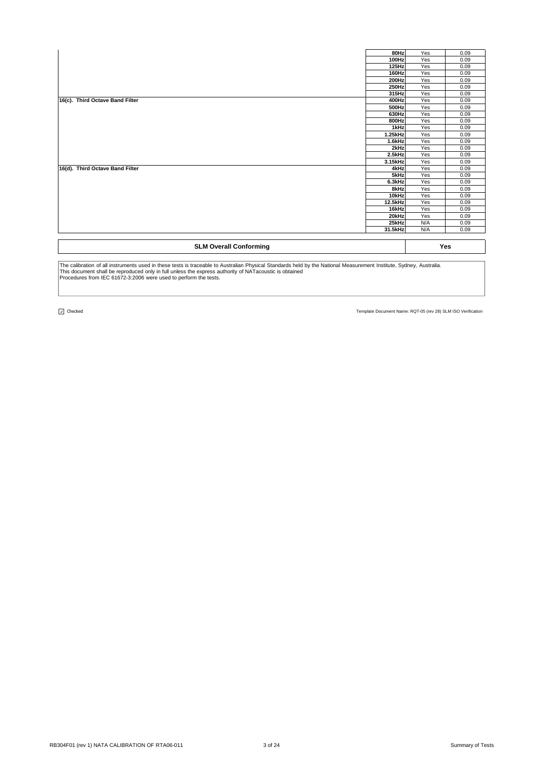| <b>SLM Overall Conforming</b>   |               |            | Yes          |
|---------------------------------|---------------|------------|--------------|
|                                 | 31.5kHz       | N/A        | 0.09         |
|                                 | 25kHz         | N/A        | 0.09         |
|                                 | 20kHz         | Yes        | 0.09         |
|                                 | 16kHz         | Yes        | 0.09         |
|                                 | 12.5kHz       | Yes        | 0.09         |
|                                 | 10kHz         | Yes        | 0.09         |
|                                 | 8kHz          | Yes        | 0.09         |
|                                 | 6.3kHz        | Yes        | 0.09         |
|                                 | 5kHz          | Yes        | 0.09         |
| 16(d). Third Octave Band Filter | 4kHz          | Yes        | 0.09         |
|                                 | 3.15kHz       | Yes        | 0.09         |
|                                 | 2.5kHz        | Yes        | 0.09         |
|                                 | 2kHz          | Yes        | 0.09         |
|                                 | 1.6kHz        | Yes        | 0.09         |
|                                 | 1.25kHz       | Yes<br>Yes | 0.09<br>0.09 |
|                                 | 800Hz<br>1kHz | Yes        | 0.09         |
|                                 | 630Hz         | Yes        | 0.09         |
|                                 | 500Hz         | Yes        | 0.09         |
| 16(c). Third Octave Band Filter | 400Hz         | Yes        | 0.09         |
|                                 | 315Hz         | Yes        | 0.09         |
|                                 | 250Hz         | Yes        | 0.09         |
|                                 | 200Hz         | Yes        | 0.09         |
|                                 | 160Hz         | Yes        | 0.09         |
|                                 | 125Hz         | Yes        | 0.09         |
|                                 | 100Hz         | Yes        | 0.09         |
|                                 | 80Hz          | Yes        | 0.09         |

The calibration of all instruments used in these tests is traceable to Australian Physical Standards held by the National Measurement Institute, Sydney, Australia.<br>This document shall be reproduced only in full unless the

 $\boxed{\cup}$  Checked

 $\overline{\phantom{a}}$ 

Template Document Name: RQT-05 (rev 28) SLM ISO Verification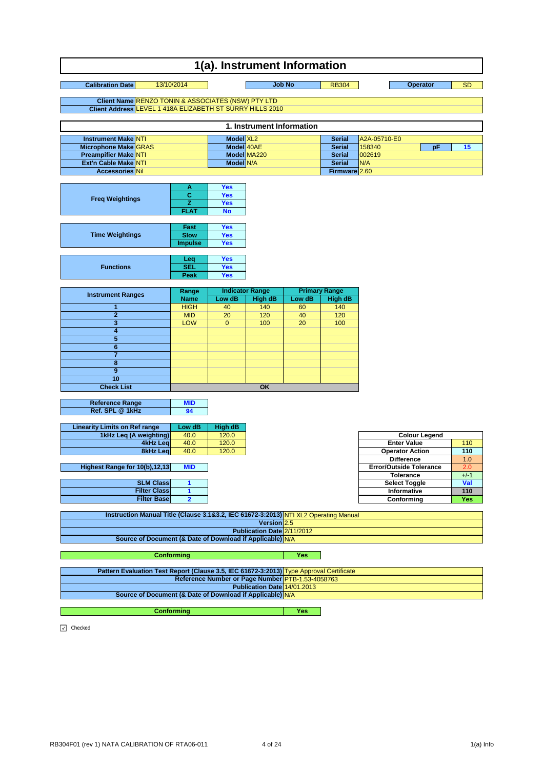#### **Calibration Date** 13/10/2014 13/10 10 Job No RB304 9 Deperator 5D **Client Name Client Address 1(a). Instrument Information** RENZO TONIN & ASSOCIATES (NSW) PTY LTD LEVEL 1 418A ELIZABETH ST SURRY HILLS 2010 13/10/2014 **Job No Operator**

| 1. Instrument Information   |  |                       |             |               |              |    |  |
|-----------------------------|--|-----------------------|-------------|---------------|--------------|----|--|
| <b>Instrument Make NTI</b>  |  | Model XL <sub>2</sub> |             | <b>Serial</b> | A2A-05710-E0 |    |  |
| Microphone Make GRAS        |  | Model 40AE            |             | <b>Serial</b> | 158340       | юF |  |
| <b>Preampifier Make NTI</b> |  |                       | Model MA220 | <b>Serial</b> | 002619       |    |  |
| Ext'n Cable Make NTI        |  | Model N/A             |             | <b>Serial</b> | IN/A         |    |  |
| <b>Accessories Nil</b>      |  |                       |             | Firmware 2.60 |              |    |  |

| <b>Freq Weightings</b> | А              | <b>Yes</b> |
|------------------------|----------------|------------|
|                        | с              | Yes        |
|                        | 7              | <b>Yes</b> |
|                        | <b>FLAT</b>    | <b>No</b>  |
|                        |                |            |
|                        | Fast           | Yes        |
| <b>Time Weightings</b> | <b>Slow</b>    | Yes        |
|                        | <b>Impulse</b> | Yes        |

|                  | Lea        | <b>Yes</b> |
|------------------|------------|------------|
| <b>Functions</b> | <b>SEL</b> | Yes        |
|                  | Peak       | Yes        |

|                          | Range       |          | <b>Indicator Range</b> | <b>Primary Range</b> |                |  |
|--------------------------|-------------|----------|------------------------|----------------------|----------------|--|
| <b>Instrument Ranges</b> | <b>Name</b> | Low dB   | High dB                | Low dB               | <b>High dB</b> |  |
|                          | <b>HIGH</b> | 40       | 140                    | 60                   | 140            |  |
| 2                        | <b>MID</b>  | 20       | 120                    | 40                   | 120            |  |
|                          | <b>LOW</b>  | $\Omega$ | 100                    | 20                   | 100            |  |
|                          |             |          |                        |                      |                |  |
| 5                        |             |          |                        |                      |                |  |
| հ                        |             |          |                        |                      |                |  |
|                          |             |          |                        |                      |                |  |
| я                        |             |          |                        |                      |                |  |
| 9                        |             |          |                        |                      |                |  |
| 10                       |             |          |                        |                      |                |  |
| <b>Check List</b>        |             |          | OK                     |                      |                |  |

| <b>Reference Range</b> |  |
|------------------------|--|
| Ref. SPL @ 1kHz        |  |
|                        |  |

| <b>Linearity Limits on Ref range</b> | Low dB | <b>High dB</b> |
|--------------------------------------|--------|----------------|
| 1kHz Leq (A weighting)               | 40.0   | 120.0          |
| 4kHz Leal                            | 40.0   | 120.0          |
| 8kHz Leg                             | 40.0   | 120.0          |
|                                      |        |                |

**SLM Class Highest Range for 10(b),12,13** MID

| OLIVI VIDSSI        |  |
|---------------------|--|
| <b>Filter Class</b> |  |
| <b>Filter Base</b>  |  |
|                     |  |

| 40.0       | 120.0 | <b>Colour Legend</b>           |        |
|------------|-------|--------------------------------|--------|
| 40.0       | 120.0 | <b>Enter Value</b>             | 110    |
| 40.0       | 120.0 | <b>Operator Action</b>         | 110    |
|            |       | <b>Difference</b>              | 1.0    |
| <b>MID</b> |       | <b>Error/Outside Tolerance</b> | 2.0    |
|            |       | <b>Tolerance</b>               | $+/-1$ |
|            |       | <b>Select Toggle</b>           | Val    |
|            |       | Informative                    | 110    |
|            |       | Conforming                     | Yes    |

| Instruction Manual Title (Clause 3.1&3.2, IEC 61672-3:2013) NTI XL2 Operating Manual    |     |
|-----------------------------------------------------------------------------------------|-----|
| Version $2.5$                                                                           |     |
| Publication Date 2/11/2012                                                              |     |
| Source of Document (& Date of Download if Applicable) N/A                               |     |
|                                                                                         |     |
| <b>Conformina</b>                                                                       | Yes |
|                                                                                         |     |
| Pattern Evaluation Test Report (Clause 3.5, IEC 61672-3:2013) Type Approval Certificate |     |
| Reference Number or Page Number PTB-1.53-4058763                                        |     |
| Publication Date 14/01.2013                                                             |     |
| Source of Document (& Date of Download if Applicable) N/A                               |     |
|                                                                                         |     |

**Yes**

**Conforming**

O Checked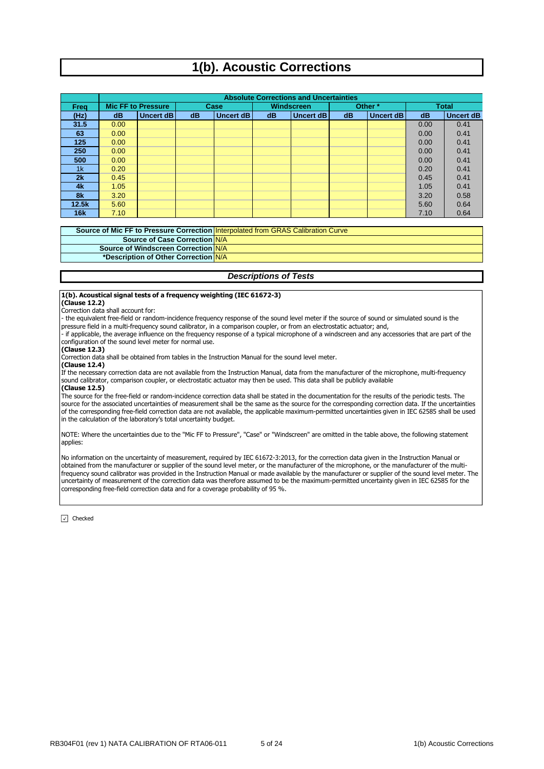# **1(b). Acoustic Corrections**

|            | <b>Absolute Corrections and Uncertainties</b> |                           |    |             |    |                   |                        |         |              |                  |  |  |
|------------|-----------------------------------------------|---------------------------|----|-------------|----|-------------------|------------------------|---------|--------------|------------------|--|--|
| Frea       |                                               | <b>Mic FF to Pressure</b> |    | <b>Case</b> |    | <b>Windscreen</b> |                        | Other * | <b>Total</b> |                  |  |  |
| (Hz)       | dB                                            | Uncert dB                 | dB | Uncert dB   | dB | Uncert dB         | <b>Uncert dB</b><br>dB |         | dB           | <b>Uncert dB</b> |  |  |
| 31.5       | 0.00                                          |                           |    |             |    |                   |                        |         | 0.00         | 0.41             |  |  |
| 63         | 0.00                                          |                           |    |             |    |                   |                        |         | 0.00         | 0.41             |  |  |
| 125        | 0.00                                          |                           |    |             |    |                   |                        |         | 0.00         | 0.41             |  |  |
| 250        | 0.00                                          |                           |    |             |    |                   |                        |         | 0.00         | 0.41             |  |  |
| 500        | 0.00                                          |                           |    |             |    |                   |                        |         | 0.00         | 0.41             |  |  |
| 1k         | 0.20                                          |                           |    |             |    |                   |                        |         | 0.20         | 0.41             |  |  |
| 2k         | 0.45                                          |                           |    |             |    |                   |                        |         | 0.45         | 0.41             |  |  |
| 4k         | 1.05                                          |                           |    |             |    |                   |                        |         | 1.05         | 0.41             |  |  |
| 8k         | 3.20                                          |                           |    |             |    |                   |                        |         | 3.20         | 0.58             |  |  |
| 12.5k      | 5.60                                          |                           |    |             |    |                   |                        |         | 5.60         | 0.64             |  |  |
| <b>16k</b> | 7.10                                          |                           |    |             |    |                   |                        |         | 7.10         | 0.64             |  |  |

**Source of Windscreen Correction** N/A **\*Description of Other Correction** N/A **Source of Mic FF to Pressure Correction** Interpolated from GRAS Calibration Curve **Source of Case Correction N/A** 

#### *Descriptions of Tests*

#### **1(b). Acoustical signal tests of a frequency weighting (IEC 61672-3)**

**(Clause 12.2)**

Correction data shall account for:

- the equivalent free-field or random-incidence frequency response of the sound level meter if the source of sound or simulated sound is the pressure field in a multi-frequency sound calibrator, in a comparison coupler, or from an electrostatic actuator; and,

- if applicable, the average influence on the frequency response of a typical microphone of a windscreen and any accessories that are part of the configuration of the sound level meter for normal use.

#### **(Clause 12.3)**

Correction data shall be obtained from tables in the Instruction Manual for the sound level meter.

**(Clause 12.4)**

If the necessary correction data are not available from the Instruction Manual, data from the manufacturer of the microphone, multi-frequency sound calibrator, comparison coupler, or electrostatic actuator may then be used. This data shall be publicly available

#### **(Clause 12.5)**

The source for the free-field or random-incidence correction data shall be stated in the documentation for the results of the periodic tests. The source for the associated uncertainties of measurement shall be the same as the source for the corresponding correction data. If the uncertainties of the corresponding free-field correction data are not available, the applicable maximum-permitted uncertainties given in IEC 62585 shall be used in the calculation of the laboratory's total uncertainty budget.

NOTE: Where the uncertainties due to the "Mic FF to Pressure", "Case" or "Windscreen" are omitted in the table above, the following statement applies:

No information on the uncertainty of measurement, required by IEC 61672-3:2013, for the correction data given in the Instruction Manual or obtained from the manufacturer or supplier of the sound level meter, or the manufacturer of the microphone, or the manufacturer of the multifrequency sound calibrator was provided in the Instruction Manual or made available by the manufacturer or supplier of the sound level meter. The uncertainty of measurement of the correction data was therefore assumed to be the maximum-permitted uncertainty given in IEC 62585 for the corresponding free-field correction data and for a coverage probability of 95 %.

 $\boxed{\sqrt}$  Checked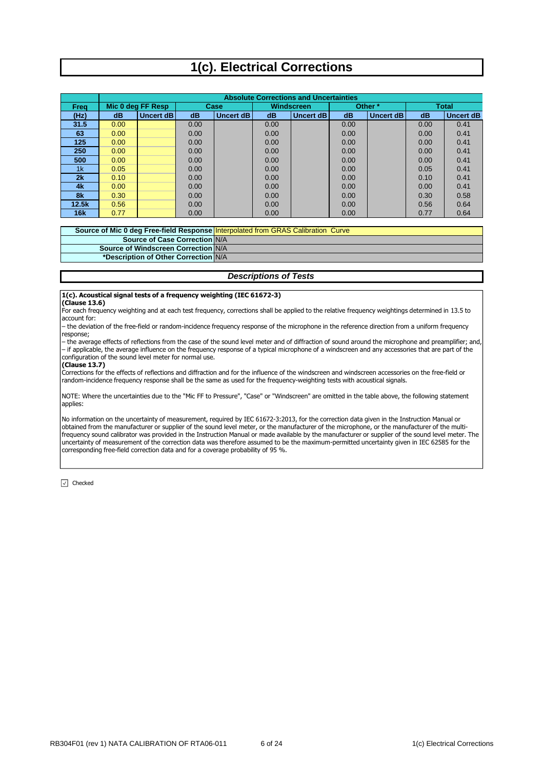# **1(c). Electrical Corrections**

|       |      | <b>Absolute Corrections and Uncertainties</b> |      |           |      |            |         |           |      |                  |  |  |  |
|-------|------|-----------------------------------------------|------|-----------|------|------------|---------|-----------|------|------------------|--|--|--|
| Frea  |      | Mic 0 deg FF Resp                             |      | Case      |      | Windscreen | Other * |           |      | <b>Total</b>     |  |  |  |
| (Hz)  | dB   | Uncert dB                                     | dB   | Uncert dB | dB   | Uncert dB  | dB      | Uncert dB | dB   | <b>Uncert dB</b> |  |  |  |
| 31.5  | 0.00 |                                               | 0.00 |           | 0.00 |            | 0.00    |           | 0.00 | 0.41             |  |  |  |
| 63    | 0.00 |                                               | 0.00 |           | 0.00 |            | 0.00    |           | 0.00 | 0.41             |  |  |  |
| 125   | 0.00 |                                               | 0.00 |           | 0.00 |            | 0.00    |           | 0.00 | 0.41             |  |  |  |
| 250   | 0.00 |                                               | 0.00 |           | 0.00 |            | 0.00    |           | 0.00 | 0.41             |  |  |  |
| 500   | 0.00 |                                               | 0.00 |           | 0.00 |            | 0.00    |           | 0.00 | 0.41             |  |  |  |
| 1k    | 0.05 |                                               | 0.00 |           | 0.00 |            | 0.00    |           | 0.05 | 0.41             |  |  |  |
| 2k    | 0.10 |                                               | 0.00 |           | 0.00 |            | 0.00    |           | 0.10 | 0.41             |  |  |  |
| 4k    | 0.00 |                                               | 0.00 |           | 0.00 |            | 0.00    |           | 0.00 | 0.41             |  |  |  |
| 8k    | 0.30 |                                               | 0.00 |           | 0.00 |            | 0.00    |           | 0.30 | 0.58             |  |  |  |
| 12.5k | 0.56 |                                               | 0.00 |           | 0.00 |            | 0.00    |           | 0.56 | 0.64             |  |  |  |
| 16k   | 0.77 |                                               | 0.00 |           | 0.00 |            | 0.00    |           | 0.77 | 0.64             |  |  |  |

**Source of Mic 0 deg Free-field Response Source of Case Correction N/A** Interpolated from GRAS Calibration Curve **Source of Windscreen Correction** N/A

**\*Description of Other Correction** N/A

#### *Descriptions of Tests*

## **1(c). Acoustical signal tests of a frequency weighting (IEC 61672-3)**

#### **(Clause 13.6)**

For each frequency weighting and at each test frequency, corrections shall be applied to the relative frequency weightings determined in 13.5 to account for:

– the deviation of the free-field or random-incidence frequency response of the microphone in the reference direction from a uniform frequency response;

– the average effects of reflections from the case of the sound level meter and of diffraction of sound around the microphone and preamplifier; and, – if applicable, the average influence on the frequency response of a typical microphone of a windscreen and any accessories that are part of the configuration of the sound level meter for normal use.

#### **(Clause 13.7)**

Corrections for the effects of reflections and diffraction and for the influence of the windscreen and windscreen accessories on the free-field or random-incidence frequency response shall be the same as used for the frequency-weighting tests with acoustical signals.

NOTE: Where the uncertainties due to the "Mic FF to Pressure", "Case" or "Windscreen" are omitted in the table above, the following statement applies:

No information on the uncertainty of measurement, required by IEC 61672-3:2013, for the correction data given in the Instruction Manual or obtained from the manufacturer or supplier of the sound level meter, or the manufacturer of the microphone, or the manufacturer of the multifrequency sound calibrator was provided in the Instruction Manual or made available by the manufacturer or supplier of the sound level meter. The uncertainty of measurement of the correction data was therefore assumed to be the maximum-permitted uncertainty given in IEC 62585 for the corresponding free-field correction data and for a coverage probability of 95 %.

 $\boxed{\vee}$  Checked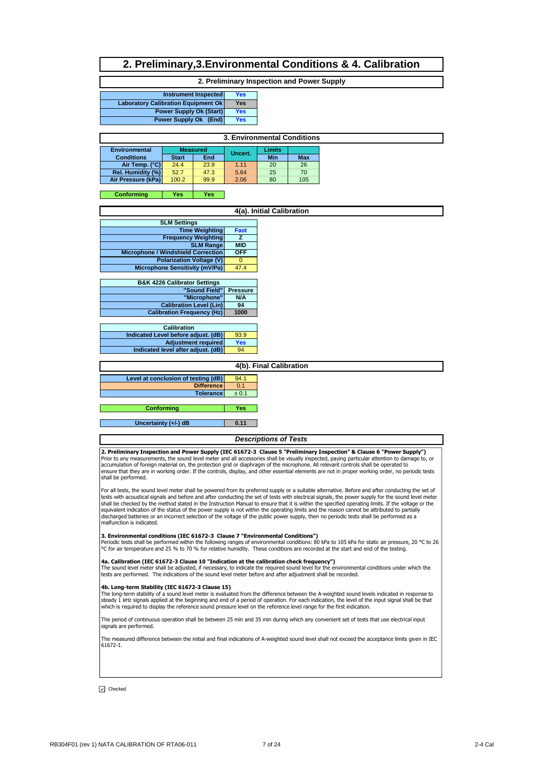## **2. Preliminary,3.Environmental Conditions & 4. Calibration**

#### **2. Preliminary Inspection and Power Supply**

| Instrument Inspected                       | Yes |
|--------------------------------------------|-----|
| <b>Laboratory Calibration Equipment Ok</b> | Yes |
| <b>Power Supply Ok (Start)</b>             | Yes |
| Power Supply Ok (End)                      | Yes |
|                                            |     |

| 3. Environmental Conditions                       |              |      |         |     |            |  |  |  |  |  |  |
|---------------------------------------------------|--------------|------|---------|-----|------------|--|--|--|--|--|--|
| Limits<br><b>Environmental</b><br><b>Measured</b> |              |      |         |     |            |  |  |  |  |  |  |
| <b>Conditions</b>                                 | <b>Start</b> | End  | Uncert. | Min | <b>Max</b> |  |  |  |  |  |  |
| Air Temp. (°C)                                    | 24.4         | 23.9 | 1.11    | 20  | 26         |  |  |  |  |  |  |
| Rel. Humidity (%)                                 | 52.7         | 47.3 | 5.64    | 25  | 70         |  |  |  |  |  |  |
| Air Pressure (kPa)                                | 100.2        | 99.9 | 2.06    | 80  | 105        |  |  |  |  |  |  |
|                                                   |              |      |         |     |            |  |  |  |  |  |  |

#### **Yes Yes Conforming**

|                                           |                 | 4(a). Initial Calibration |
|-------------------------------------------|-----------------|---------------------------|
| <b>SLM Settings</b>                       |                 |                           |
| <b>Time Weighting</b>                     | Fast            |                           |
| <b>Frequency Weighting</b>                | z               |                           |
| <b>SLM Range</b>                          | <b>MID</b>      |                           |
| <b>Microphone / Windshield Correction</b> | <b>OFF</b>      |                           |
| <b>Polarization Voltage (V)</b>           | $\Omega$        |                           |
| <b>Microphone Sensitivity (mV/Pa)</b>     | 47.4            |                           |
|                                           |                 |                           |
| <b>B&amp;K 4226 Calibrator Settings</b>   |                 |                           |
| "Sound Field"                             | <b>Pressure</b> |                           |
| "Microphone"                              | N/A             |                           |
| <b>Calibration Level (Lin)</b>            | 94              |                           |
| <b>Calibration Frequency (Hz)</b>         | 1000            |                           |
|                                           |                 |                           |
| <b>Calibration</b>                        |                 |                           |
| Indicated Level before adjust. (dB)       | 93.9            |                           |
| Adjustment required                       | <b>Yes</b>      |                           |
| Indicated level after adjust. (dB)        | 94              |                           |
|                                           |                 |                           |
|                                           |                 | 4(b). Final Calibration   |
| Level at conclusion of testing (dB)       | 94.1            |                           |
| <b>Difference</b>                         | 0.1             |                           |
| <b>Tolerance</b>                          | ± 0.1           |                           |
|                                           |                 |                           |

**Yes 0.11 Uncertainty (+/-) dB Conforming**

#### *Descriptions of Tests*

**2. Preliminary Inspection and Power Supply (IEC 61672-3 Clause 5 "Preliminary Inspection" & Clause 6 "Power Supply")<br>Prior to any measurements, the sound level meter and all accessories shall be visually inspected, paying** ensure that they are in working order. If the controls, display, and other essential elements are not in proper working order, no periodic tests shall be performed.

For all tests, the sound level meter shall be powered from its preferred supply or a suitable alternative. Before and after conducting the set of<br>tests with acoustical signals and before and after conducting the set of tes equivalent indication of the status of the power supply is not within the operating limits and the reason cannot be attributed to partially discharged batteries or an incorrect selection of the voltage of the public power supply, then no periodic tests shall be performed as a malfunction is indicated.

#### **3. Environmental conditions (IEC 61672-3 Clause 7 "Environmental Conditions")**

| Periodic tests shall be performed within the following ranges of environmental conditions: 80 kPa to 105 kPa for static air pressure, 20 °C to 26<br>| °C for air temperature and 25 % to 70 % for relative humidity. These con

**4a. Calibration (IEC 61672-3 Clause 10 "Indication at the calibration check frequency")**<br>The sound level meter shall be adjusted, if necessary, to indicate the required sound level for the environmental conditions under w

**4b. Long-term Stability (IEC 61672-3 Clause 15)**<br>The long-term stability of a sound level meter is evaluated from the difference between the A-weighted sound levels indicated in response to<br>steady 1 kHz signals applied at which is required to display the reference sound pressure level on the reference level range for the first indication.

The period of continuous operation shall be between 25 min and 35 min during which any convenient set of tests that use electrical input signals are performed

The measured difference between the initial and final indications of A-weighted sound level shall not exceed the acceptance limits given in IEC 61672-1.

 $\sqrt{}$  Checked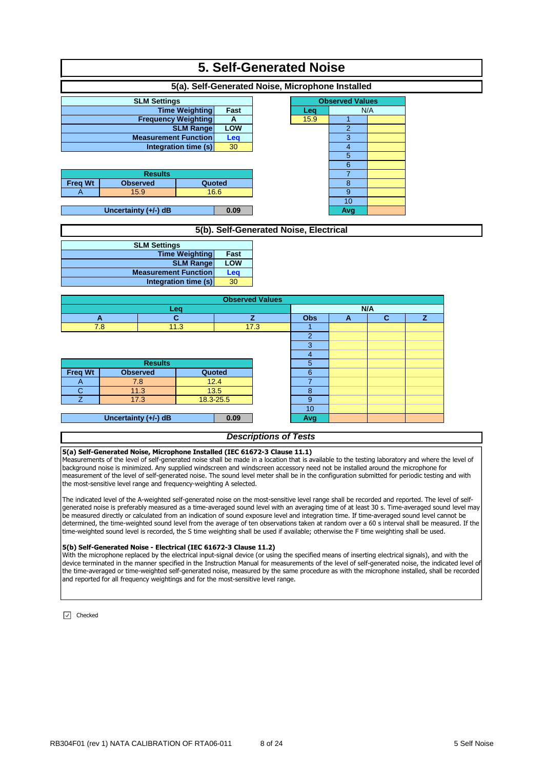| <b>5. Self-Generated Noise</b>                   |                      |                             |           |                                        |                                  |                     |              |   |  |  |  |  |
|--------------------------------------------------|----------------------|-----------------------------|-----------|----------------------------------------|----------------------------------|---------------------|--------------|---|--|--|--|--|
| 5(a). Self-Generated Noise, Microphone Installed |                      |                             |           |                                        |                                  |                     |              |   |  |  |  |  |
|                                                  | <b>SLM Settings</b>  |                             |           |                                        | <b>Observed Values</b>           |                     |              |   |  |  |  |  |
|                                                  |                      | <b>Time Weighting</b>       | Fast      |                                        | Leq                              | N/A                 |              |   |  |  |  |  |
|                                                  |                      | <b>Frequency Weighting</b>  | A         |                                        | 15.9                             | $\mathbf{1}$        |              |   |  |  |  |  |
|                                                  |                      | <b>SLM Range</b>            | LOW       |                                        |                                  | $\overline{2}$      |              |   |  |  |  |  |
|                                                  |                      | <b>Measurement Function</b> | Leq       |                                        |                                  | 3                   |              |   |  |  |  |  |
|                                                  |                      | Integration time (s)        | 30        |                                        |                                  | $\overline{4}$<br>5 |              |   |  |  |  |  |
|                                                  |                      |                             |           |                                        |                                  | $6\phantom{1}6$     |              |   |  |  |  |  |
|                                                  | <b>Results</b>       |                             |           |                                        |                                  | $\overline{7}$      |              |   |  |  |  |  |
| <b>Freq Wt</b>                                   | <b>Observed</b>      |                             | Quoted    |                                        |                                  | 8                   |              |   |  |  |  |  |
| A                                                | 15.9                 |                             | 16.6      |                                        |                                  | $\boldsymbol{9}$    |              |   |  |  |  |  |
|                                                  |                      |                             |           |                                        |                                  | 10                  |              |   |  |  |  |  |
|                                                  | Uncertainty (+/-) dB |                             | 0.09      |                                        |                                  | Avg                 |              |   |  |  |  |  |
|                                                  |                      |                             |           |                                        |                                  |                     |              |   |  |  |  |  |
|                                                  |                      |                             |           | 5(b). Self-Generated Noise, Electrical |                                  |                     |              |   |  |  |  |  |
|                                                  | <b>SLM Settings</b>  |                             |           |                                        |                                  |                     |              |   |  |  |  |  |
|                                                  |                      | <b>Time Weighting</b>       | Fast      |                                        |                                  |                     |              |   |  |  |  |  |
|                                                  |                      | <b>SLM Range</b>            | LOW       |                                        |                                  |                     |              |   |  |  |  |  |
|                                                  |                      | <b>Measurement Function</b> | Leq       |                                        |                                  |                     |              |   |  |  |  |  |
|                                                  |                      | Integration time (s)        | 30        |                                        |                                  |                     |              |   |  |  |  |  |
|                                                  |                      |                             |           | <b>Observed Values</b>                 |                                  |                     |              |   |  |  |  |  |
|                                                  |                      | Leq                         |           |                                        |                                  |                     | N/A          |   |  |  |  |  |
| A                                                |                      | $\mathbf{C}$                |           | z                                      | <b>Obs</b>                       | A                   | $\mathbf{C}$ | z |  |  |  |  |
| 7.8                                              |                      | 11.3                        |           | 17.3                                   | 1                                |                     |              |   |  |  |  |  |
|                                                  |                      |                             |           |                                        | $\overline{c}$                   |                     |              |   |  |  |  |  |
|                                                  |                      |                             |           |                                        | $\overline{3}$<br>$\overline{4}$ |                     |              |   |  |  |  |  |
|                                                  | <b>Results</b>       |                             |           |                                        | 5                                |                     |              |   |  |  |  |  |
| <b>Freq Wt</b>                                   | <b>Observed</b>      |                             | Quoted    |                                        | 6                                |                     |              |   |  |  |  |  |
| A                                                | 7.8                  |                             | 12.4      |                                        | $\overline{7}$                   |                     |              |   |  |  |  |  |
| $\mathsf{C}$                                     | 11.3                 |                             | 13.5      |                                        | 8                                |                     |              |   |  |  |  |  |
| $\overline{7}$                                   | 17.3                 |                             | 18.3-25.5 |                                        | 9                                |                     |              |   |  |  |  |  |
|                                                  |                      |                             |           |                                        | 10                               |                     |              |   |  |  |  |  |
|                                                  | Uncertainty (+/-) dB |                             | 0.09      |                                        | Avg                              |                     |              |   |  |  |  |  |
|                                                  |                      |                             |           |                                        |                                  |                     |              |   |  |  |  |  |

### *Descriptions of Tests*

#### **5(a) Self-Generated Noise, Microphone Installed (IEC 61672-3 Clause 11.1)**

Measurements of the level of self-generated noise shall be made in a location that is available to the testing laboratory and where the level of background noise is minimized. Any supplied windscreen and windscreen accessory need not be installed around the microphone for measurement of the level of self-generated noise. The sound level meter shall be in the configuration submitted for periodic testing and with the most-sensitive level range and frequency-weighting A selected.

The indicated level of the A-weighted self-generated noise on the most-sensitive level range shall be recorded and reported. The level of selfgenerated noise is preferably measured as a time-averaged sound level with an averaging time of at least 30 s. Time-averaged sound level may be measured directly or calculated from an indication of sound exposure level and integration time. If time-averaged sound level cannot be determined, the time-weighted sound level from the average of ten observations taken at random over a 60 s interval shall be measured. If the time-weighted sound level is recorded, the S time weighting shall be used if available; otherwise the F time weighting shall be used.

#### **5(b) Self-Generated Noise - Electrical (IEC 61672-3 Clause 11.2)**

With the microphone replaced by the electrical input-signal device (or using the specified means of inserting electrical signals), and with the device terminated in the manner specified in the Instruction Manual for measurements of the level of self-generated noise, the indicated level of the time-averaged or time-weighted self-generated noise, measured by the same procedure as with the microphone installed, shall be recorded and reported for all frequency weightings and for the most-sensitive level range.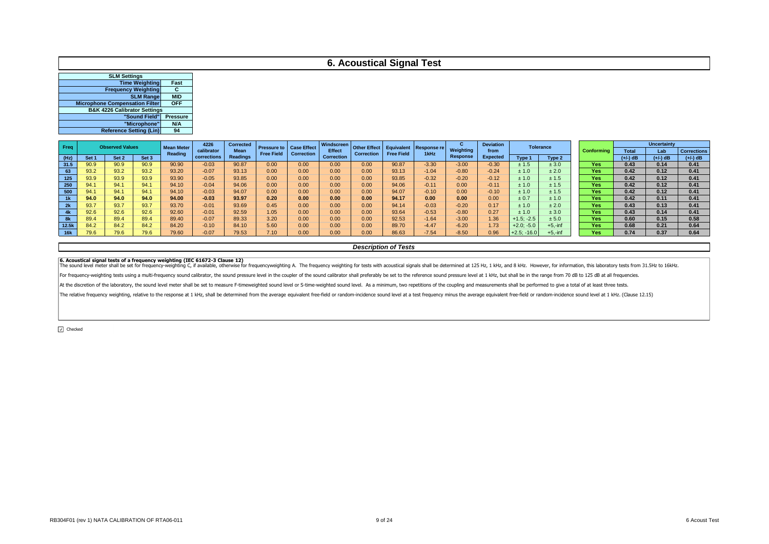## **6. Acoustical Signal Test**

| <b>SLM Settings</b>                     |                 |
|-----------------------------------------|-----------------|
| <b>Time Weighting</b>                   | Fast            |
| <b>Frequency Weighting</b>              | С               |
| <b>SLM Range</b>                        | <b>MID</b>      |
| <b>Microphone Compensation Filter</b>   | <b>OFF</b>      |
| <b>B&amp;K 4226 Calibrator Settings</b> |                 |
| "Sound Field"                           | <b>Pressure</b> |
| "Microphone"                            | N/A             |
| <b>Reference Setting (Lin)</b>          | 94              |
|                                         |                 |

| Freq       |      | <b>Observed Values</b> |       | <b>Mean Meter</b> | 4226        | <b>Corrected</b> |                   | <b>Pressure to Case Effect</b> | Windscreen        | <b>Other Effect  </b> | Equivalent        | Response re | u               | <b>Deviation</b> | <b>Tolerance</b> |                   |            |              | <b>Uncertainty</b> |                    |
|------------|------|------------------------|-------|-------------------|-------------|------------------|-------------------|--------------------------------|-------------------|-----------------------|-------------------|-------------|-----------------|------------------|------------------|-------------------|------------|--------------|--------------------|--------------------|
|            |      |                        |       | Reading           | calibrator  | Mean             | <b>Free Field</b> | <b>Correction</b>              | <b>Effect</b>     | <b>Correction</b>     | <b>Free Field</b> | 1kHz        | Weighting       | from             |                  |                   | Conformina | <b>Total</b> | Lab                | <b>Corrections</b> |
| (Hz)       | Set: | Set 2                  | Set 3 |                   | corrections | Readings         |                   |                                | <b>Correction</b> |                       |                   |             | <b>Response</b> | <b>Expected</b>  | Tvpe 1           | Tvpe <sub>2</sub> |            | $(+/-)$ dB   | $(+/-)$ dB         | $(+/-)$ dB         |
| 31.5       | 90.9 | 90.9                   | 90.9  | 90.90             | $-0.03$     | 90.87            | 0.00              | 0.00                           | 0.00              | 0.00                  | 90.87             | $-3.30$     | $-3.00$         | $-0.30$          | ± 1.5            | ± 3.0             | Yes        | 0.43         | 0.14               | 0.41               |
| 63         | 93.2 | 93.2                   | 93.2  | 93.20             | $-0.07$     | 93.13            | 0.00              | 0.00                           | 0.00              | 0.00                  | 93.13             | $-1.04$     | $-0.80$         | $-0.24$          | ± 1.0            | ± 2.0             | Yes        | 0.42         | 0.12               | 0.41               |
| 125        | 93.9 | 93.9                   | 93.9  | 93.90             | $-0.05$     | 93.85            | 0.00              | 0.00                           | 0.00              | 0.00                  | 93.85             | $-0.32$     | $-0.20$         | $-0.12$          | ± 1.0            | ± 1.5             | <b>Yes</b> | 0.42         | 0.12               | 0.41               |
| 250        | 94.  | 94.                    | 94.1  | 94.10             | $-0.04$     | 94.06            | 0.00              | 0.00                           | 0.00              | 0.00                  | 94.06             | $-0.11$     | 0.00            | $-0.11$          | ± 1.0            | ± 1.5             | Yes        | 0.42         | 0.12               | 0.41               |
| 500        | 94.1 | 94.                    | 94.1  | 94.10             | $-0.03$     | 94.07            | 0.00              | 0.00                           | 0.00              | 0.00                  | 94.07             | $-0.10$     | 0.00            | $-0.10$          | ± 1.0            | ± 1.5             | Yes        | 0.42         | 0.12               | 0.41               |
| 1k         | 94.0 | 94.0                   | 94.0  | 94.00             | $-0.03$     | 93.97            | 0.20              | 0.00                           | 0.00              | 0.00                  | 94.17             | 0.00        | 0.00            | 0.00             | ± 0.7            | ± 1.0             | <b>Yes</b> | 0.42         | 0.11               | 0.41               |
| 2k         | 93.7 | 93.7                   | 93.7  | 93.70             | $-0.01$     | 93.69            | 0.45              | 0.00                           | 0.00              | 0.00                  | 94.14             | $-0.03$     | $-0.20$         | 0.17             | ± 1.0            | ± 2.0             | Yes        | 0.43         | 0.13               | 0.41               |
| 4k         | 92.6 | 92.6                   | 92.6  | 92.60             | $-0.01$     | 92.59            | 1.05              | 0.00                           | 0.00              | 0.00                  | 93.64             | $-0.53$     | $-0.80$         | 0.27             | ± 1.0            | ± 3.0             | <b>Yes</b> | 0.43         | 0.14               | 0.41               |
|            | 89.4 | 89.4                   | 89.4  | 89.40             | $-0.07$     | 89.33            | 3.20              | 0.00                           | 0.00              | 0.00                  | 92.53             | $-1.64$     | $-3.00$         | 1.36             | $+1.5: -2.5$     | ± 5.0             | Yes        | 0.60         | 0.15               | 0.58               |
| 12.5k      | 84.2 | 84.2                   | 84.2  | 84.20             | $-0.10$     | 84.10            | 5.60              | 0.00                           | 0.00              | 0.00                  | 89.70             | $-4.47$     | $-6.20$         | 1.73             | $+2.0; -5.0$     | $+5.-inf$         | Yes        | 0.68         | 0.21               | 0.64               |
| <b>16k</b> |      | 79.6                   | 79.6  | 79.60             | $-0.07$     | 79.53            | 7.10              | 0.00                           | 0.00              | 0.00                  | 86.63             | $-7.54$     | $-8.50$         | 0.96             | $+2.5: -16.0$    | $-5 - in$         | Yes        | 0.74         | 0.37               | 0.64               |

#### *Description of Tests*

6. Acoustical signal tests of a frequency weighting C, if available, otherwise 12) clause 12)<br>The sound level meter shall be set for frequency-weighting C, if available, otherwise for frequencyweighting A. The frequency we

For frequency-weighting tests using a multi-frequency sound calibrator, the sound pressure level in the coupler of the sound calibrator shall preferably be set to the reference sound pressure level at 1 kHz, but shall be i

At the discretion of the laboratory, the sound level meter shall be set to measure F-timeweighted sound level or S-time-weighted sound level. As a minimum, two repetitions of the coupling and measurements shall be performe

The relative frequency weighting, relative to the response at 1 kHz, shall be determined from the average equivalent free-field or random-incidence sound level at a test frequency minus the average equivalent free-field or

O Checked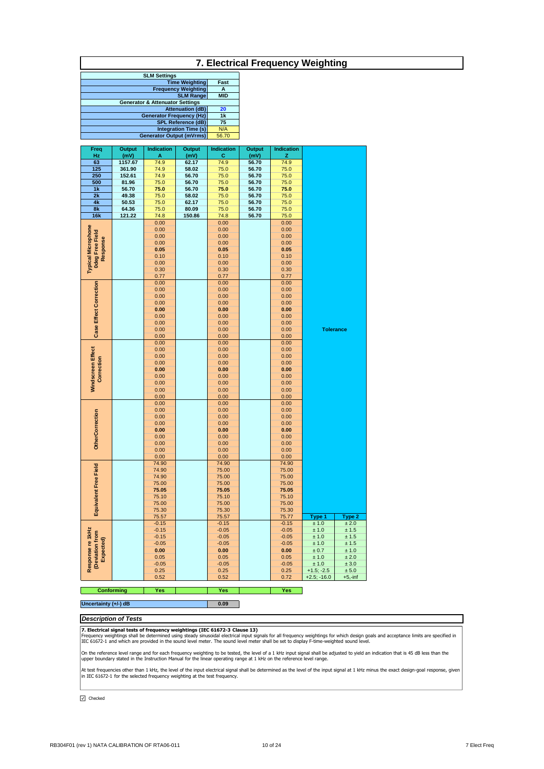## **7. Electrical Frequency Weighting**

| <b>SLM Settings</b>                        |            |
|--------------------------------------------|------------|
| <b>Time Weighting</b>                      | Fast       |
| <b>Frequency Weighting</b>                 | А          |
| <b>SLM Range</b>                           | <b>MID</b> |
| <b>Generator &amp; Attenuator Settings</b> |            |
| <b>Attenuation (dB)</b>                    | 20         |
| <b>Generator Frequency (Hz)</b>            | 1k         |
| <b>SPL Reference (dB)</b>                  | 75         |
| <b>Integration Time (s)</b>                | N/A        |
| <b>Generator Output (mVrms)</b>            | 56.70      |

| Freq                                | Output                 | Indication   | Output         | <b>Indication</b> | Output               | <b>Indication</b> |                  |            |
|-------------------------------------|------------------------|--------------|----------------|-------------------|----------------------|-------------------|------------------|------------|
| Hz                                  | $\frac{(mV)}{1157.67}$ | A            | (mV)           | $rac{C}{74.9}$    | $\frac{(mV)}{56.70}$ | z                 |                  |            |
| 63                                  |                        | 74.9         | 62.17          |                   |                      | 74.9              |                  |            |
| 125                                 | 361.90                 | 74.9         | 58.02          | 75.0              | 56.70                | 75.0              |                  |            |
| 250                                 | 152.61                 | 74.9         | 56.70          | 75.0              | 56.70                | 75.0              |                  |            |
| 500<br>1k                           | 81.96<br>56.70         | 75.0<br>75.0 | 56.70          | 75.0              | 56.70                | 75.0              |                  |            |
|                                     |                        |              | 56.70          | 75.0              | 56.70                | 75.0              |                  |            |
| 2k<br>4k                            | 49.38                  | 75.0         | 58.02          | 75.0              | 56.70                | 75.0<br>75.0      |                  |            |
|                                     | 50.53<br>64.36         | 75.0         | 62.17<br>80.09 | 75.0              | 56.70                |                   |                  |            |
| 8k<br>16k                           | 121.22                 | 75.0<br>74.8 | 150.86         | 75.0<br>74.8      | 56.70<br>56.70       | 75.0<br>75.0      |                  |            |
|                                     |                        | 0.00         |                | 0.00              |                      | 0.00              |                  |            |
|                                     |                        | 0.00         |                | 0.00              |                      | 0.00              |                  |            |
|                                     |                        | 0.00         |                | 0.00              |                      | 0.00              |                  |            |
|                                     |                        | 0.00         |                | 0.00              |                      | 0.00              |                  |            |
| <b>Odeg Free Field</b><br>Response  |                        | 0.05         |                | 0.05              |                      | 0.05              |                  |            |
|                                     |                        | 0.10         |                | 0.10              |                      | 0.10              |                  |            |
|                                     |                        | 0.00         |                | 0.00              |                      | 0.00              |                  |            |
| <b>Typical Microphone</b>           |                        | 0.30         |                | 0.30              |                      | 0.30              |                  |            |
|                                     |                        | 0.77         |                | 0.77              |                      | 0.77              |                  |            |
|                                     |                        | 0.00         |                | 0.00              |                      | 0.00              |                  |            |
| Case Effect Correction              |                        | 0.00         |                | 0.00              |                      | 0.00              |                  |            |
|                                     |                        | 0.00         |                | 0.00              |                      | 0.00              |                  |            |
|                                     |                        | 0.00         |                | 0.00              |                      | 0.00              |                  |            |
|                                     |                        | 0.00         |                | 0.00              |                      | 0.00              |                  |            |
|                                     |                        | 0.00         |                | 0.00              |                      | 0.00              |                  |            |
|                                     |                        | 0.00         |                | 0.00              |                      | 0.00              |                  |            |
|                                     |                        | 0.00         |                | 0.00              |                      | 0.00              | <b>Tolerance</b> |            |
|                                     |                        | 0.00         |                | 0.00              |                      | 0.00              |                  |            |
|                                     |                        | 0.00         |                | 0.00              |                      | 0.00              |                  |            |
|                                     |                        | 0.00         |                | 0.00              |                      | 0.00              |                  |            |
|                                     |                        | 0.00         |                | 0.00              |                      | 0.00              |                  |            |
|                                     |                        | 0.00         |                | 0.00              |                      | 0.00              |                  |            |
| Windscreen Effect<br>Correction     |                        | 0.00         |                | 0.00              |                      | 0.00              |                  |            |
|                                     |                        | 0.00         |                | 0.00              |                      | 0.00              |                  |            |
|                                     |                        | 0.00         |                | 0.00              |                      | 0.00              |                  |            |
|                                     |                        | 0.00         |                | 0.00              |                      | 0.00              |                  |            |
|                                     |                        | 0.00         |                | 0.00              |                      | 0.00<br>0.00      |                  |            |
|                                     |                        | 0.00         |                | 0.00              |                      |                   |                  |            |
| <b>OtherCorrection</b>              |                        | 0.00<br>0.00 |                | 0.00<br>0.00      |                      | 0.00<br>0.00      |                  |            |
|                                     |                        | 0.00         |                | 0.00              |                      | 0.00              |                  |            |
|                                     |                        | 0.00         |                | 0.00              |                      | 0.00              |                  |            |
|                                     |                        | 0.00         |                | 0.00              |                      | 0.00              |                  |            |
|                                     |                        | 0.00         |                | 0.00              |                      | 0.00              |                  |            |
|                                     |                        | 0.00         |                | 0.00              |                      | 0.00              |                  |            |
|                                     |                        | 0.00         |                | 0.00              |                      | 0.00              |                  |            |
|                                     |                        | 74.90        |                | 74.90             |                      | 74.90             |                  |            |
|                                     |                        | 74.90        |                | 75.00             |                      | 75.00             |                  |            |
|                                     |                        | 74.90        |                | 75.00             |                      | 75.00             |                  |            |
|                                     |                        | 75.00        |                | 75.00             |                      | 75.00             |                  |            |
|                                     |                        | 75.05        |                | 75.05             |                      | 75.05             |                  |            |
|                                     |                        | 75.10        |                | 75.10             |                      | 75.10             |                  |            |
|                                     |                        | 75.00        |                | 75.00             |                      | 75.00             |                  |            |
| Equivalent Free Field               |                        | 75.30        |                | 75.30             |                      | 75.30             |                  |            |
|                                     |                        | 75.57        |                | 75.57             |                      | 75.77             | Type 1           | Type 2     |
|                                     |                        | $-0.15$      |                | $-0.15$           |                      | $-0.15$           | ± 1.0            | ± 2.0      |
|                                     |                        | $-0.15$      |                | $-0.05$           |                      | $-0.05$           | ± 1.0            | ± 1.5      |
| Response re 1kHz<br>(Deviation from |                        | $-0.15$      |                | $-0.05$           |                      | $-0.05$           | $\pm 1.0$        | ± 1.5      |
| Expected)                           |                        | $-0.05$      |                | $-0.05$           |                      | $-0.05$           | ± 1.0            | ± 1.5      |
|                                     |                        | 0.00         |                | 0.00              |                      | 0.00              | ± 0.7            | ± 1.0      |
|                                     |                        | 0.05         |                | 0.05              |                      | 0.05              | ± 1.0            | ± 2.0      |
|                                     |                        | $-0.05$      |                | $-0.05$           |                      | $-0.05$           | ± 1.0            | ± 3.0      |
|                                     |                        | 0.25         |                | 0.25              |                      | 0.25              | $+1.5; -2.5$     | ± 5.0      |
|                                     |                        | 0.52         |                | 0.52              |                      | 0.72              | $+2.5; -16.0$    | $+5, -inf$ |

**Yes Yes Yes Conforming Pres** 

## **Uncertainty (+/-) dB 0.09 1.000**

## *Description of Tests*

**7. Electrical signal tests of frequency weightings (IEC 61672-3 Clause 13)**<br>Frequency weightings shall be determined using steady sinusoidal electrical input signals for all frequency weightings for which design goals and

On the reference level range and for each frequency weighting to be tested, the level of a 1 kHz input signal shall be adjusted to yield an indication that is 45 dB less than the<br>upper boundary stated in the Instruction Ma

At test frequencies other than 1 kHz, the level of the input electrical signal shall be determined as the level of the input signal at 1 kHz minus the exact design-goal response, given<br>in IEC 61672-1 for the selected frequ

 $\boxed{\triangle}$  Checked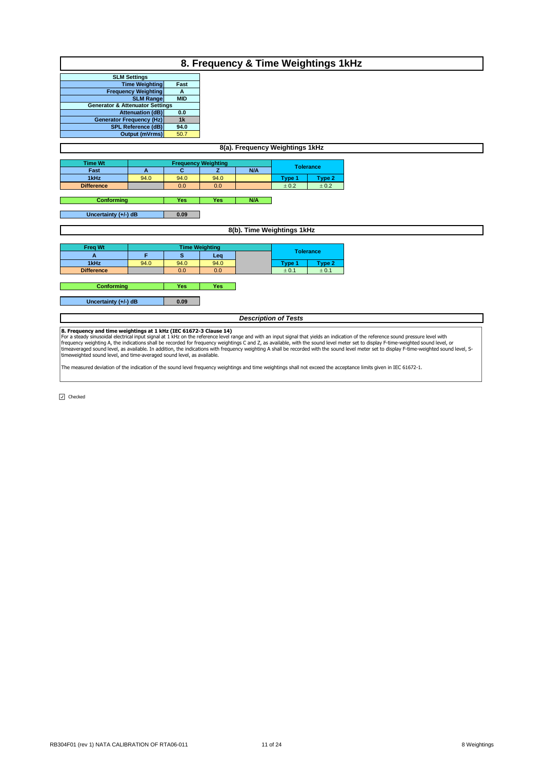|                                            | 8. Frequency & Time Weightings 1kHz                          |            |                            |                             |                  |           |  |  |  |  |  |  |
|--------------------------------------------|--------------------------------------------------------------|------------|----------------------------|-----------------------------|------------------|-----------|--|--|--|--|--|--|
|                                            | <b>SLM Settings</b>                                          |            |                            |                             |                  |           |  |  |  |  |  |  |
|                                            | <b>Time Weighting</b>                                        | Fast       |                            |                             |                  |           |  |  |  |  |  |  |
|                                            | <b>Frequency Weighting</b>                                   | A          |                            |                             |                  |           |  |  |  |  |  |  |
|                                            | <b>SLM Range</b>                                             | <b>MID</b> |                            |                             |                  |           |  |  |  |  |  |  |
| <b>Generator &amp; Attenuator Settings</b> |                                                              |            |                            |                             |                  |           |  |  |  |  |  |  |
|                                            | <b>Attenuation (dB)</b>                                      | 0.0        |                            |                             |                  |           |  |  |  |  |  |  |
|                                            | <b>Generator Frequency (Hz)</b><br><b>SPL Reference (dB)</b> | 1k<br>94.0 |                            |                             |                  |           |  |  |  |  |  |  |
|                                            |                                                              | 50.7       |                            |                             |                  |           |  |  |  |  |  |  |
| Output (mVrms)                             |                                                              |            |                            |                             |                  |           |  |  |  |  |  |  |
| 8(a). Frequency Weightings 1kHz            |                                                              |            |                            |                             |                  |           |  |  |  |  |  |  |
| <b>Time Wt</b>                             |                                                              |            | <b>Frequency Weighting</b> |                             |                  |           |  |  |  |  |  |  |
| Fast                                       | A                                                            | C          | $\overline{z}$             | <b>N/A</b>                  | <b>Tolerance</b> |           |  |  |  |  |  |  |
| 1kHz                                       | 94.0                                                         | 94.0       | 94.0                       |                             | Type 1           | Type 2    |  |  |  |  |  |  |
| <b>Difference</b>                          |                                                              | 0.0        | 0.0                        |                             | ± 0.2            | $\pm$ 0.2 |  |  |  |  |  |  |
|                                            |                                                              |            |                            |                             |                  |           |  |  |  |  |  |  |
| <b>Conforming</b>                          |                                                              | Yes        | <b>Yes</b>                 | N/A                         |                  |           |  |  |  |  |  |  |
|                                            |                                                              |            |                            |                             |                  |           |  |  |  |  |  |  |
| Uncertainty (+/-) dB                       |                                                              | 0.09       |                            |                             |                  |           |  |  |  |  |  |  |
|                                            |                                                              |            |                            | 8(b). Time Weightings 1kHz  |                  |           |  |  |  |  |  |  |
|                                            |                                                              |            |                            |                             |                  |           |  |  |  |  |  |  |
| <b>Freq Wt</b>                             |                                                              |            | <b>Time Weighting</b>      |                             | <b>Tolerance</b> |           |  |  |  |  |  |  |
| A                                          | F                                                            | s          | Leq                        |                             |                  |           |  |  |  |  |  |  |
| 1kHz                                       | 94.0                                                         | 94.0       | 94.0                       |                             | Type 1           | Type 2    |  |  |  |  |  |  |
| <b>Difference</b>                          |                                                              | 0.0        | 0.0                        |                             | ± 0.1            | ± 0.1     |  |  |  |  |  |  |
|                                            |                                                              |            |                            |                             |                  |           |  |  |  |  |  |  |
| Conforming                                 |                                                              | Yes        | Yes                        |                             |                  |           |  |  |  |  |  |  |
| Uncertainty (+/-) dB                       |                                                              | 0.09       |                            |                             |                  |           |  |  |  |  |  |  |
|                                            |                                                              |            |                            |                             |                  |           |  |  |  |  |  |  |
|                                            |                                                              |            |                            | <b>Description of Tests</b> |                  |           |  |  |  |  |  |  |
| $\sim$ $\sim$<br>$\cdot$                   | $\cdot$ $\cdot$ $\cdot$                                      |            |                            |                             |                  |           |  |  |  |  |  |  |

**8. Frequency and time weightings at 1 kHz (IEC 61672-3 Clause 14)**<br>For a steady sinusoidal electrical input signal at 1 kHz on the reference level range and with an input signal that yields an indication of the reference

The measured deviation of the indication of the sound level frequency weightings and time weightings shall not exceed the acceptance limits given in IEC 61672-1.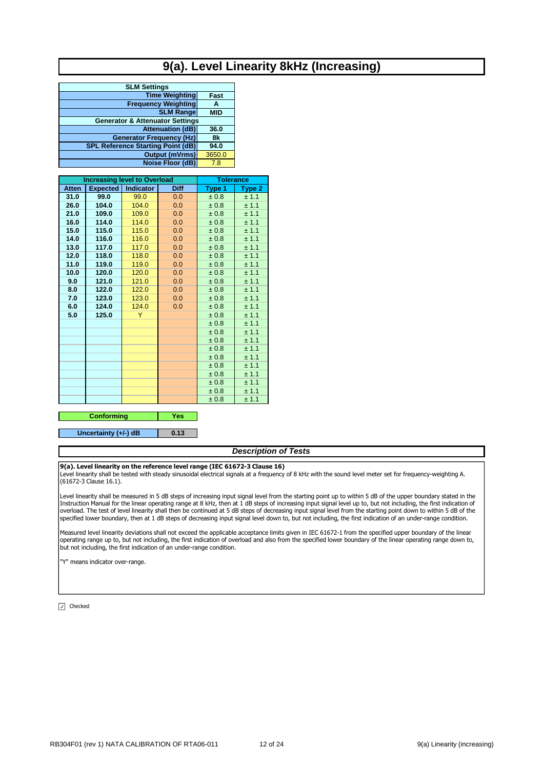# **9(a). Level Linearity 8kHz (Increasing)**

| <b>SLM Settings</b>                        |            |
|--------------------------------------------|------------|
| <b>Time Weighting</b>                      | Fast       |
| <b>Frequency Weighting</b>                 | А          |
| <b>SLM Range</b>                           | <b>MID</b> |
| <b>Generator &amp; Attenuator Settings</b> |            |
| <b>Attenuation (dB)</b>                    | 36.0       |
| <b>Generator Frequency (Hz)</b>            | 8k         |
| <b>SPL Reference Starting Point (dB)</b>   | 94.0       |
| <b>Output (mVrms)</b>                      | 3650.0     |
| <b>Noise Floor (dB)</b>                    | 7.8        |

|              | <b>Increasing level to Overload</b> | <b>Tolerance</b> |      |        |        |
|--------------|-------------------------------------|------------------|------|--------|--------|
| <b>Atten</b> | <b>Expected</b>                     | <b>Indicator</b> | Diff | Type 1 | Type 2 |
| 31.0         | 99.0                                | 99.0             | 0.0  | ± 0.8  | ± 1.1  |
| 26.0         | 104.0                               | 104.0            | 0.0  | ± 0.8  | ± 1.1  |
| 21.0         | 109.0                               | 109.0            | 0.0  | ± 0.8  | ± 1.1  |
| 16.0         | 114.0                               | 114.0            | 0.0  | ± 0.8  | ± 1.1  |
| 15.0         | 115.0                               | 115.0            | 0.0  | ± 0.8  | ± 1.1  |
| 14.0         | 116.0                               | 116.0            | 0.0  | ± 0.8  | ± 1.1  |
| 13.0         | 117.0                               | 117.0            | 0.0  | ± 0.8  | ± 1.1  |
| 12.0         | 118.0                               | 118.0            | 0.0  | ± 0.8  | ± 1.1  |
| 11.0         | 119.0                               | 119.0            | 0.0  | ± 0.8  | ± 1.1  |
| 10.0         | 120.0                               | 120.0            | 0.0  | ± 0.8  | ± 1.1  |
| 9.0          | 121.0                               | 121.0            | 0.0  | ± 0.8  | ± 1.1  |
| 8.0          | 122.0                               | 122.0            | 0.0  | ± 0.8  | ± 1.1  |
| 7.0          | 123.0                               | 123.0            | 0.0  | ± 0.8  | ± 1.1  |
| 6.0          | 124.0                               | 124.0            | 0.0  | ± 0.8  | ± 1.1  |
| 5.0          | 125.0                               | Y                |      | ± 0.8  | ± 1.1  |
|              |                                     |                  |      | ± 0.8  | ± 1.1  |
|              |                                     |                  |      | ± 0.8  | ± 1.1  |
|              |                                     |                  |      | ± 0.8  | ± 1.1  |
|              |                                     |                  |      | ± 0.8  | ± 1.1  |
|              |                                     |                  |      | ± 0.8  | ± 1.1  |
|              |                                     |                  |      | ± 0.8  | ± 1.1  |
|              |                                     |                  |      | ± 0.8  | ± 1.1  |
|              |                                     |                  |      | ± 0.8  | ± 1.1  |
|              |                                     |                  |      | ± 0.8  | ± 1.1  |
|              |                                     |                  |      | ± 0.8  | ± 1.1  |

#### **Yes Conforming**

**0.13 Uncertainty (+/-) dB**

#### *Description of Tests*

#### **9(a). Level linearity on the reference level range (IEC 61672-3 Clause 16)**

Level linearity shall be tested with steady sinusoidal electrical signals at a frequency of 8 kHz with the sound level meter set for frequency-weighting A. (61672-3 Clause 16.1).

Level linearity shall be measured in 5 dB steps of increasing input signal level from the starting point up to within 5 dB of the upper boundary stated in the Instruction Manual for the linear operating range at 8 kHz, then at 1 dB steps of increasing input signal level up to, but not including, the first indication of overload. The test of level linearity shall then be continued at 5 dB steps of decreasing input signal level from the starting point down to within 5 dB of the specified lower boundary, then at 1 dB steps of decreasing input signal level down to, but not including, the first indication of an under-range condition.

Measured level linearity deviations shall not exceed the applicable acceptance limits given in IEC 61672-1 from the specified upper boundary of the linear operating range up to, but not including, the first indication of overload and also from the specified lower boundary of the linear operating range down to, but not including, the first indication of an under-range condition.

"Y" means indicator over-range.

 $\boxed{\sqrt{ }}$  Checked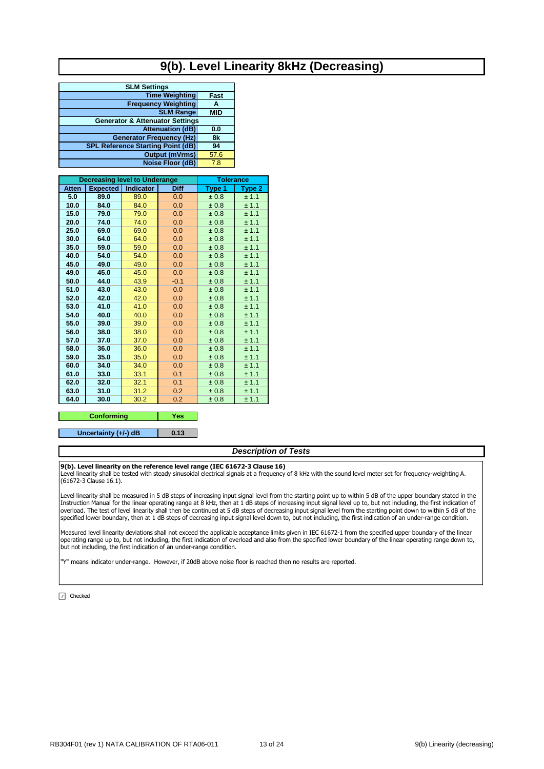# **9(b). Level Linearity 8kHz (Decreasing)**

| <b>SLM Settings</b>                        |            |
|--------------------------------------------|------------|
| <b>Time Weighting</b>                      | Fast       |
| <b>Frequency Weighting</b>                 | A          |
| <b>SLM Range</b>                           | <b>MID</b> |
| <b>Generator &amp; Attenuator Settings</b> |            |
| <b>Attenuation (dB)</b>                    | 0.0        |
| <b>Generator Frequency (Hz)</b>            | 8k         |
| <b>SPL Reference Starting Point (dB)</b>   | 94         |
| <b>Output (mVrms)</b>                      | 57.6       |
| Noise Floor (dB)                           | 7.8        |

| <b>Expected</b><br><b>Indicator</b><br><b>Diff</b><br><b>Atten</b><br>Type 1<br>Type 2<br>5.0<br>89.0<br>89.0<br>0.0<br>± 0.8<br>± 1.1<br>10.0<br>84.0<br>84.0<br>0.0<br>± 0.8<br>± 1.1<br>15.0<br>79.0<br>79.0<br>0.0<br>$\pm 0.8$<br>± 1.1<br>0.0<br>20.0<br>74.0<br>74.0<br>± 0.8<br>± 1.1<br>25.0<br>69.0<br>69.0<br>0.0<br>± 0.8<br>± 1.1<br>30.0<br>64.0<br>64.0<br>0.0<br>± 1.1<br>± 0.8<br>35.0<br>59.0<br>59.0<br>0.0<br>± 0.8<br>± 1.1<br>40.0<br>54.0<br>54.0<br>0.0<br>± 1.1<br>±0.8<br>45.0<br>49.0<br>49.0<br>0.0<br>± 1.1<br>± 0.8<br>45.0<br>49.0<br>45.0<br>0.0<br>± 0.8<br>± 1.1<br>44.0<br>50.0<br>43.9<br>$-0.1$<br>± 0.8<br>± 1.1<br>51.0<br>43.0<br>43.0<br>0.0<br>± 0.8<br>± 1.1<br>52.0<br>42.0<br>42.0<br>± 1.1<br>0.0<br>$\pm 0.8$<br>53.0<br>41.0<br>41.0<br>0.0<br>± 0.8<br>± 1.1<br>54.0<br>40.0<br>0.0<br>40.0<br>± 0.8<br>± 1.1<br>55.0<br>39.0<br>39.0<br>0.0<br>± 0.8<br>± 1.1<br>56.0<br>38.0<br>38.0<br>0.0<br>± 1.1<br>± 0.8 |  |
|------------------------------------------------------------------------------------------------------------------------------------------------------------------------------------------------------------------------------------------------------------------------------------------------------------------------------------------------------------------------------------------------------------------------------------------------------------------------------------------------------------------------------------------------------------------------------------------------------------------------------------------------------------------------------------------------------------------------------------------------------------------------------------------------------------------------------------------------------------------------------------------------------------------------------------------------------------------|--|
|                                                                                                                                                                                                                                                                                                                                                                                                                                                                                                                                                                                                                                                                                                                                                                                                                                                                                                                                                                  |  |
|                                                                                                                                                                                                                                                                                                                                                                                                                                                                                                                                                                                                                                                                                                                                                                                                                                                                                                                                                                  |  |
|                                                                                                                                                                                                                                                                                                                                                                                                                                                                                                                                                                                                                                                                                                                                                                                                                                                                                                                                                                  |  |
|                                                                                                                                                                                                                                                                                                                                                                                                                                                                                                                                                                                                                                                                                                                                                                                                                                                                                                                                                                  |  |
|                                                                                                                                                                                                                                                                                                                                                                                                                                                                                                                                                                                                                                                                                                                                                                                                                                                                                                                                                                  |  |
|                                                                                                                                                                                                                                                                                                                                                                                                                                                                                                                                                                                                                                                                                                                                                                                                                                                                                                                                                                  |  |
|                                                                                                                                                                                                                                                                                                                                                                                                                                                                                                                                                                                                                                                                                                                                                                                                                                                                                                                                                                  |  |
|                                                                                                                                                                                                                                                                                                                                                                                                                                                                                                                                                                                                                                                                                                                                                                                                                                                                                                                                                                  |  |
|                                                                                                                                                                                                                                                                                                                                                                                                                                                                                                                                                                                                                                                                                                                                                                                                                                                                                                                                                                  |  |
|                                                                                                                                                                                                                                                                                                                                                                                                                                                                                                                                                                                                                                                                                                                                                                                                                                                                                                                                                                  |  |
|                                                                                                                                                                                                                                                                                                                                                                                                                                                                                                                                                                                                                                                                                                                                                                                                                                                                                                                                                                  |  |
|                                                                                                                                                                                                                                                                                                                                                                                                                                                                                                                                                                                                                                                                                                                                                                                                                                                                                                                                                                  |  |
|                                                                                                                                                                                                                                                                                                                                                                                                                                                                                                                                                                                                                                                                                                                                                                                                                                                                                                                                                                  |  |
|                                                                                                                                                                                                                                                                                                                                                                                                                                                                                                                                                                                                                                                                                                                                                                                                                                                                                                                                                                  |  |
|                                                                                                                                                                                                                                                                                                                                                                                                                                                                                                                                                                                                                                                                                                                                                                                                                                                                                                                                                                  |  |
|                                                                                                                                                                                                                                                                                                                                                                                                                                                                                                                                                                                                                                                                                                                                                                                                                                                                                                                                                                  |  |
|                                                                                                                                                                                                                                                                                                                                                                                                                                                                                                                                                                                                                                                                                                                                                                                                                                                                                                                                                                  |  |
|                                                                                                                                                                                                                                                                                                                                                                                                                                                                                                                                                                                                                                                                                                                                                                                                                                                                                                                                                                  |  |
| 57.0<br>37.0<br>37.0<br>0.0<br>± 0.8<br>± 1.1                                                                                                                                                                                                                                                                                                                                                                                                                                                                                                                                                                                                                                                                                                                                                                                                                                                                                                                    |  |
| 58.0<br>36.0<br>36.0<br>0.0<br>± 0.8<br>± 1.1                                                                                                                                                                                                                                                                                                                                                                                                                                                                                                                                                                                                                                                                                                                                                                                                                                                                                                                    |  |
| 59.0<br>35.0<br>35.0<br>0.0<br>± 0.8<br>± 1.1                                                                                                                                                                                                                                                                                                                                                                                                                                                                                                                                                                                                                                                                                                                                                                                                                                                                                                                    |  |
| 34.0<br>60.0<br>34.0<br>0.0<br>± 0.8<br>± 1.1                                                                                                                                                                                                                                                                                                                                                                                                                                                                                                                                                                                                                                                                                                                                                                                                                                                                                                                    |  |
| 61.0<br>33.0<br>33.1<br>0.1<br>± 0.8<br>± 1.1                                                                                                                                                                                                                                                                                                                                                                                                                                                                                                                                                                                                                                                                                                                                                                                                                                                                                                                    |  |
| 62.0<br>32.0<br>32.1<br>0.1<br>± 1.1<br>± 0.8                                                                                                                                                                                                                                                                                                                                                                                                                                                                                                                                                                                                                                                                                                                                                                                                                                                                                                                    |  |
| 63.0<br>31.0<br>31.2<br>0.2<br>± 0.8<br>± 1.1                                                                                                                                                                                                                                                                                                                                                                                                                                                                                                                                                                                                                                                                                                                                                                                                                                                                                                                    |  |
| 64.0<br>30.0<br>30.2<br>0.2<br>± 0.8<br>± 1.1                                                                                                                                                                                                                                                                                                                                                                                                                                                                                                                                                                                                                                                                                                                                                                                                                                                                                                                    |  |

#### **Yes 0.13 Conforming Uncertainty (+/-) dB**

# *Description of Tests*

#### **9(b). Level linearity on the reference level range (IEC 61672-3 Clause 16)**

Level linearity shall be tested with steady sinusoidal electrical signals at a frequency of 8 kHz with the sound level meter set for frequency-weighting A. (61672-3 Clause 16.1).

Level linearity shall be measured in 5 dB steps of increasing input signal level from the starting point up to within 5 dB of the upper boundary stated in the Instruction Manual for the linear operating range at 8 kHz, then at 1 dB steps of increasing input signal level up to, but not including, the first indication of overload. The test of level linearity shall then be continued at 5 dB steps of decreasing input signal level from the starting point down to within 5 dB of the specified lower boundary, then at 1 dB steps of decreasing input signal level down to, but not including, the first indication of an under-range condition.

Measured level linearity deviations shall not exceed the applicable acceptance limits given in IEC 61672-1 from the specified upper boundary of the linear operating range up to, but not including, the first indication of overload and also from the specified lower boundary of the linear operating range down to, but not including, the first indication of an under-range condition.

"Y" means indicator under-range. However, if 20dB above noise floor is reached then no results are reported.

 $\boxed{\sqrt{ }}$  Checked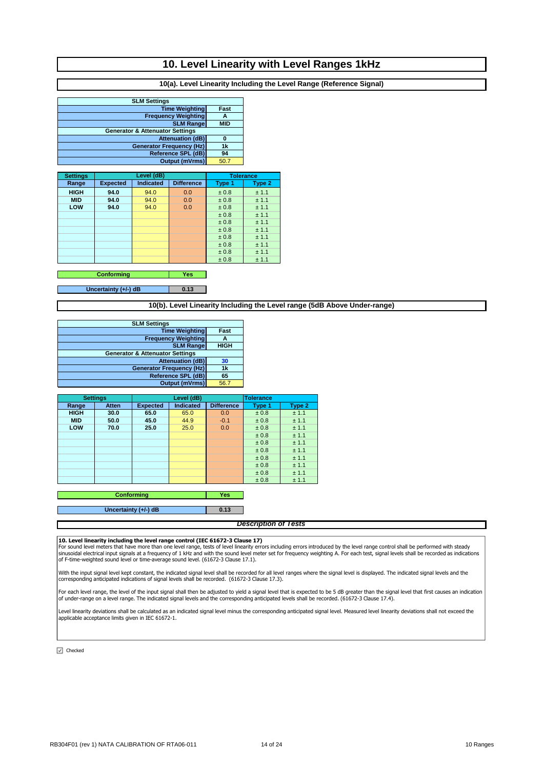## **10. Level Linearity with Level Ranges 1kHz**

### **10(a). Level Linearity Including the Level Range (Reference Signal)**

| <b>SLM Settings</b>                        |            |  |  |  |
|--------------------------------------------|------------|--|--|--|
| <b>Time Weighting</b>                      | Fast       |  |  |  |
| <b>Frequency Weighting</b>                 | А          |  |  |  |
| <b>SLM Range</b>                           | <b>MID</b> |  |  |  |
| <b>Generator &amp; Attenuator Settings</b> |            |  |  |  |
| <b>Attenuation (dB)</b>                    |            |  |  |  |
| <b>Generator Frequency (Hz)</b>            | 1k         |  |  |  |
| <b>Reference SPL (dB)</b>                  | 94         |  |  |  |
| <b>Output (mVrms)</b>                      | 50.7       |  |  |  |

| <b>Settings</b> | Level (dB)      |                  |                   | <b>Tolerance</b> |        |
|-----------------|-----------------|------------------|-------------------|------------------|--------|
| Range           | <b>Expected</b> | <b>Indicated</b> | <b>Difference</b> | Type 1           | Type 2 |
| <b>HIGH</b>     | 94.0            | 94.0             | 0.0               | ± 0.8            | ± 1.1  |
| <b>MID</b>      | 94.0            | 94.0             | 0.0               | ± 0.8            | ± 1.1  |
| LOW             | 94.0            | 94.0             | 0.0               | ± 0.8            | ± 1.1  |
|                 |                 |                  |                   | ± 0.8            | ± 1.1  |
|                 |                 |                  |                   | ± 0.8            | ± 1.1  |
|                 |                 |                  |                   | ± 0.8            | ± 1.1  |
|                 |                 |                  |                   | ± 0.8            | ± 1.1  |
|                 |                 |                  |                   | ± 0.8            | ± 1.1  |
|                 |                 |                  |                   | ± 0.8            | ± 1.1  |
|                 |                 |                  |                   | ± 0.8            | ± 1.1  |

**Yes Conforming**

**0.13 Uncertainty (+/-) dB**

### **10(b). Level Linearity Including the Level range (5dB Above Under-range)**

| <b>SLM Settings</b>                        |             |
|--------------------------------------------|-------------|
| <b>Time Weighting</b>                      | Fast        |
| <b>Frequency Weighting</b>                 | Α           |
| <b>SLM Range</b>                           | <b>HIGH</b> |
| <b>Generator &amp; Attenuator Settings</b> |             |
| <b>Attenuation (dB)</b>                    | 30          |
| <b>Generator Frequency (Hz)</b>            | 1k          |
| <b>Reference SPL (dB)</b>                  | 65          |
| <b>Output (mVrms)</b>                      | 56.7        |
|                                            |             |

|             | <b>Settings</b> |                 | Level (dB)       |                   | <b>Tolerance</b> |        |
|-------------|-----------------|-----------------|------------------|-------------------|------------------|--------|
| Range       | <b>Atten</b>    | <b>Expected</b> | <b>Indicated</b> | <b>Difference</b> | Type 1           | Type 2 |
| <b>HIGH</b> | 30.0            | 65.0            | 65.0             | 0.0               | ± 0.8            | ± 1.1  |
| <b>MID</b>  | 50.0            | 45.0            | 44.9             | $-0.1$            | ± 0.8            | ± 1.1  |
| LOW         | 70.0            | 25.0            | 25.0             | 0.0               | ± 0.8            | ± 1.1  |
|             |                 |                 |                  |                   | ± 0.8            | ± 1.1  |
|             |                 |                 |                  |                   | ± 0.8            | ± 1.1  |
|             |                 |                 |                  |                   | ± 0.8            | ± 1.1  |
|             |                 |                 |                  |                   | ± 0.8            | ± 1.1  |
|             |                 |                 |                  |                   | ± 0.8            | ± 1.1  |
|             |                 |                 |                  |                   | ± 0.8            | ± 1.1  |
|             |                 |                 |                  |                   | ± 0.8            | ± 1.1  |
|             |                 |                 |                  |                   |                  |        |

**Yes Conforming**

**Uncertainty (+/-) dB**

#### *Description of Tests*

**0.13**

#### **10. Level linearity including the level range control (IEC 61672-3 Clause 17)**

For sound level meters that have more than one level range, tests of level linearity errors incuding errors introduced by the level range control shall be performed with steady<br>sinusoidal electrical input signals at a freq

With the input signal level kept constant, the indicated signal level shall be recorded for all level ranges where the signal level is displayed. The indicated signal levels and the corresponding anticipated indications of signal levels shall be recorded. (61672-3 Clause 17.3).

For each level range, the level of the input signal shall then be adjusted to yield a signal level that is expected to be 5 dB greater than the signal level that first causes an indicatior<br>of under-range on a level range.

Level linearity deviations shall be calculated as an indicated signal level minus the corresponding anticipated signal level. Measured level linearity deviations shall not exceed the<br>applicable acceptance limits given in I

 $\boxed{\triangle}$  Checked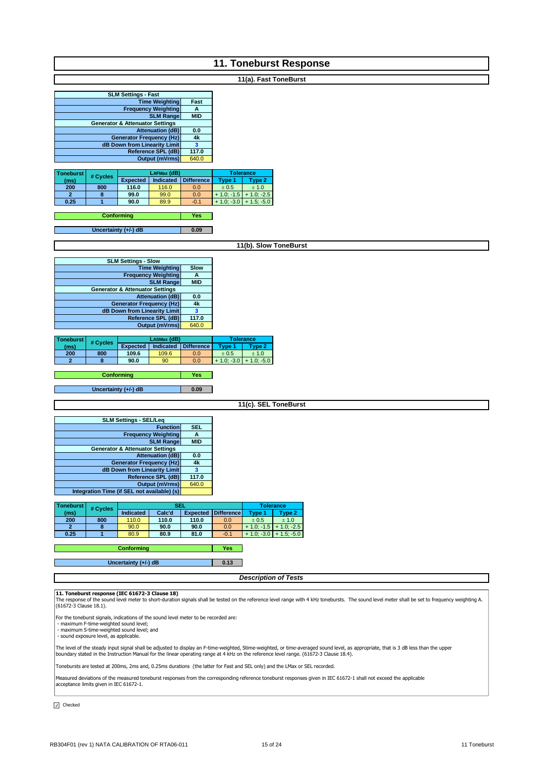| <b>11. Toneburst Response</b>                                                                                                                                                                                                                                                                                                                                                                                                                                                                         |  |  |  |  |  |
|-------------------------------------------------------------------------------------------------------------------------------------------------------------------------------------------------------------------------------------------------------------------------------------------------------------------------------------------------------------------------------------------------------------------------------------------------------------------------------------------------------|--|--|--|--|--|
| 11(a). Fast ToneBurst                                                                                                                                                                                                                                                                                                                                                                                                                                                                                 |  |  |  |  |  |
| <b>SLM Settings - Fast</b><br><b>Time Weighting</b><br>Fast<br><b>Frequency Weighting</b><br>A<br><b>SLM Range</b><br><b>MID</b><br><b>Generator &amp; Attenuator Settings</b><br><b>Attenuation (dB)</b><br>0.0<br>4k<br><b>Generator Frequency (Hz)</b><br>3<br>dB Down from Linearity Limit<br>Reference SPL (dB)<br>117.0<br><b>Output (mVrms)</b><br>640.0                                                                                                                                       |  |  |  |  |  |
| <b>Toneburst</b><br>LAFMax (dB)<br><b>Tolerance</b><br># Cycles<br>Indicated Difference<br><b>Expected</b><br>Type 1<br>Type 2<br>(ms)<br>200<br>800<br>116.0<br>116.0<br>0.0<br>$\pm$ 0.5<br>$\pm$ 1.0<br>$\overline{2}$<br>8<br>99.0<br>99.0<br>0.0<br>$+1.0; -1.5$ + 1.0; -2.5<br>0.25<br>90.0<br>89.9<br>$+1.0; -3.0 + 1.5; -5.0$<br>1<br>$-0.1$<br><b>Conforming</b><br>Yes<br>Uncertainty (+/-) dB<br>0.09                                                                                      |  |  |  |  |  |
| 11(b). Slow ToneBurst                                                                                                                                                                                                                                                                                                                                                                                                                                                                                 |  |  |  |  |  |
| <b>SLM Settings - Slow</b><br><b>Time Weighting</b><br><b>Slow</b><br><b>Frequency Weighting</b><br>A<br><b>SLM Range</b><br><b>MID</b><br><b>Generator &amp; Attenuator Settings</b><br><b>Attenuation (dB)</b><br>0.0<br><b>Generator Frequency (Hz)</b><br>4k<br>dB Down from Linearity Limit<br>$\mathbf{3}$<br><b>Reference SPL (dB)</b><br>117.0<br><b>Output (mVrms)</b><br>640.0                                                                                                              |  |  |  |  |  |
| LASMax (dB)<br><b>Tolerance</b><br><b>Toneburst</b><br># Cycles<br>Indicated   Difference<br><b>Expected</b><br>Type 2<br>Type 1<br>(ms)<br>800<br>109.6<br>109.6<br>$\pm$ 0.5<br>200<br>0.0<br>$\pm$ 1.0<br>90.0<br>$+ 1.0; -3.0 + 1.0; -5.0$<br>$\overline{2}$<br>8<br>90<br>0.0<br><b>Conforming</b><br>Yes                                                                                                                                                                                        |  |  |  |  |  |
| Uncertainty (+/-) dB<br>0.09<br>11(c). SEL ToneBurst                                                                                                                                                                                                                                                                                                                                                                                                                                                  |  |  |  |  |  |
| <b>SLM Settings - SEL/Leq</b><br><b>Function</b><br><b>SEL</b><br><b>Frequency Weighting</b><br>A<br><b>MID</b><br><b>SLM Range</b><br><b>Generator &amp; Attenuator Settings</b><br><b>Attenuation (dB)</b><br>0.0<br>4k<br><b>Generator Frequency (Hz)</b><br>dB Down from Linearity Limit<br>$\overline{\mathbf{3}}$<br>117.0<br>Reference SPL (dB)<br>640.0<br><b>Output (mVrms)</b><br>Integration Time (if SEL not available) (s)                                                               |  |  |  |  |  |
| SEL<br><b>Toneburst</b><br><b>Tolerance</b><br># Cycles<br>Calc'd<br><b>Difference</b><br>Indicated<br><b>Expected</b><br>Type 1<br>Type 2<br>(ms)<br>800<br>200<br>110.0<br>110.0<br>110.0<br>$\pm$ 0.5<br>± 1.0<br>0.0<br>90.0<br>90.0<br>$\overline{2}$<br>8<br>90.0<br>0.0<br>$+1.0; -1.5$ + 1.0; -2.5<br>0.25<br>1<br>80.9<br>80.9<br>81.0<br>$-0.1$<br>$+1.0$ ; -3.0 + 1.5; -5.0<br>Yes                                                                                                         |  |  |  |  |  |
| Conforming<br>Uncertainty (+/-) dB<br>0.13                                                                                                                                                                                                                                                                                                                                                                                                                                                            |  |  |  |  |  |
| <b>Description of Tests</b>                                                                                                                                                                                                                                                                                                                                                                                                                                                                           |  |  |  |  |  |
| 11. Toneburst response (IEC 61672-3 Clause 18)<br>The response of the sound level meter to short-duration signals shall be tested on the reference level range with 4 kHz tonebursts. The sound level meter shall be set to frequency weighting A.<br>(61672-3 Clause 18.1).<br>For the toneburst signals, indications of the sound level meter to be recorded are:<br>- maximum F-time-weighted sound level;<br>- maximum S-time-weighted sound level; and<br>- sound exposure level, as applicable. |  |  |  |  |  |
| The level of the steady input signal shall be adjusted to display an F-time-weighted, Stime-weighted, or time-averaged sound level, as appropriate, that is 3 dB less than the upper<br>boundary stated in the Instruction Manual for the linear operating range at 4 kHz on the reference level range. (61672-3 Clause 18.4).                                                                                                                                                                        |  |  |  |  |  |
| Tonebursts are tested at 200ms, 2ms and, 0.25ms durations (the latter for Fast and SEL only) and the LMax or SEL recorded.                                                                                                                                                                                                                                                                                                                                                                            |  |  |  |  |  |
| Measured deviations of the measured toneburst responses from the corresponding reference toneburst responses given in IEC 61672-1 shall not exceed the applicable<br>acceptance limits given in IEC 61672-1.                                                                                                                                                                                                                                                                                          |  |  |  |  |  |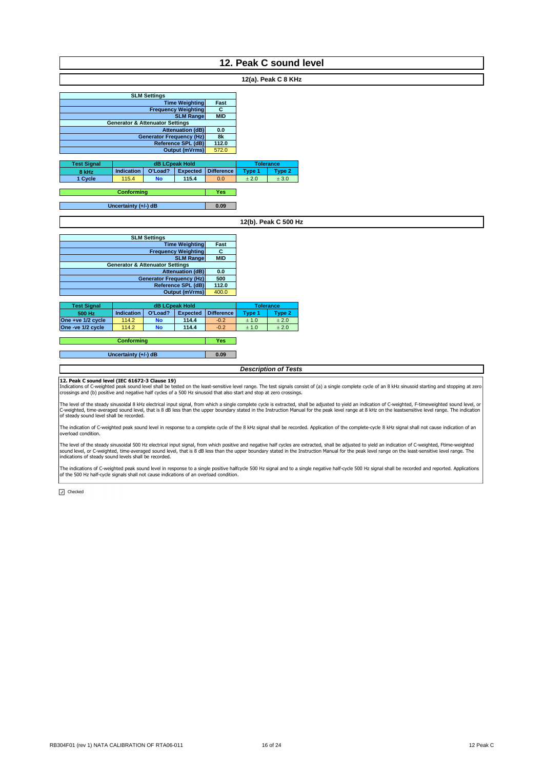| 12. Peak C sound level |      |  |  |  |  |
|------------------------|------|--|--|--|--|
|                        |      |  |  |  |  |
| 12(a). Peak C 8 KHz    |      |  |  |  |  |
|                        |      |  |  |  |  |
| <b>SLM Settings</b>    |      |  |  |  |  |
| <b>Time Weighting</b>  | Fast |  |  |  |  |
|                        |      |  |  |  |  |

|                    |                                            | c<br><b>Frequency Weighting</b>    |                       |                   |        |                  |
|--------------------|--------------------------------------------|------------------------------------|-----------------------|-------------------|--------|------------------|
|                    |                                            | <b>SLM Rangel</b><br><b>MID</b>    |                       |                   |        |                  |
|                    | <b>Generator &amp; Attenuator Settings</b> |                                    |                       |                   |        |                  |
|                    |                                            | <b>Attenuation (dB)</b><br>0.0     |                       |                   |        |                  |
|                    | <b>Generator Frequency (Hz)</b>            | 8k                                 |                       |                   |        |                  |
|                    |                                            | <b>Reference SPL (dB)</b><br>112.0 |                       |                   |        |                  |
|                    |                                            | Output (mVrms)<br>572.0            |                       |                   |        |                  |
|                    |                                            |                                    |                       |                   |        |                  |
| <b>Test Signal</b> |                                            |                                    | <b>dB LCpeak Hold</b> |                   |        | <b>Tolerance</b> |
| 8 kHz              | <b>Indication</b>                          | O'Load?                            | <b>Expected</b>       | <b>Difference</b> | Type 1 | Type 2           |
| 1 Cycle            | 115.4                                      | <b>No</b>                          | 115.4                 | 0.0               | ± 2.0  | ± 3.0            |
|                    |                                            |                                    |                       |                   |        |                  |

**Yes Conforming**

**0.09 Uncertainty (+/-) dB**

### **12(b). Peak C 500 Hz**

| <b>SLM Settings</b>                        |            |  |  |  |
|--------------------------------------------|------------|--|--|--|
| <b>Time Weighting</b>                      | Fast       |  |  |  |
| <b>Frequency Weighting</b>                 | С          |  |  |  |
| <b>SLM Range</b>                           | <b>MID</b> |  |  |  |
| <b>Generator &amp; Attenuator Settings</b> |            |  |  |  |
| <b>Attenuation (dB)</b>                    | 0.0        |  |  |  |
| <b>Generator Frequency (Hz)</b>            | 500        |  |  |  |
| <b>Reference SPL (dB)</b>                  | 112.0      |  |  |  |
| <b>Output (mVrms)</b>                      | 400.0      |  |  |  |

| <b>Test Signal</b> |                   | <b>dB LCpeak Hold</b> | <b>Tolerance</b> |                   |        |        |
|--------------------|-------------------|-----------------------|------------------|-------------------|--------|--------|
| 500 Hz             | <b>Indication</b> | O'Load?               | <b>Expected</b>  | <b>Difference</b> | Tvpe 1 | Type 2 |
| One +ve 1/2 cycle  | 114.2             | <b>No</b>             | 114.4            | $-0.2$            | ± 1.0  | ± 2.0  |
| One -ve 1/2 cycle  | 114.2             | No                    | 114.4            | $-0.2$            | ± 1.0  | ± 2.0  |

**Yes Conforming**

**0.09 Uncertainty (+/-) dB**

#### *Description of Tests*

**12. Peak C sound level (IEC 61672-3 Clause 19)**<br>Indications of C-weighted peak sound level shall be tested on the least-sensitive level range. The test signals consist of (a) a single complete cycle of an 8 kHz sinusoid s

The level of the steady sinusoidal 8 kHz electrical input signal, from which a single complete cycle is extracted, shall be adjusted to yield an indication of C-weighted, F-timeweighted sound level, or law and level, or la

The indication of C-weighted peak sound level in response to a complete cycle of the 8 kHz signal shall be recorded. Application of the complete-cycle 8 kHz signal shall not cause indication of an overload condition.

The level of the steady sinusoidal 500 Hz electrical input signal, from which positive and negative half cycles are extracted, shall be adjusted to yield an indication of C-weighted, Ftime-weighted<br>sound level, or C-weight

The indications of C-weighted peak sound level in response to a single positive halfcycle 500 Hz signal and to a single negative half-cycle 500 Hz signal shall be recorded and reported. Applications<br>of the 500 Hz half-cycl

 $\boxed{J}$  Checked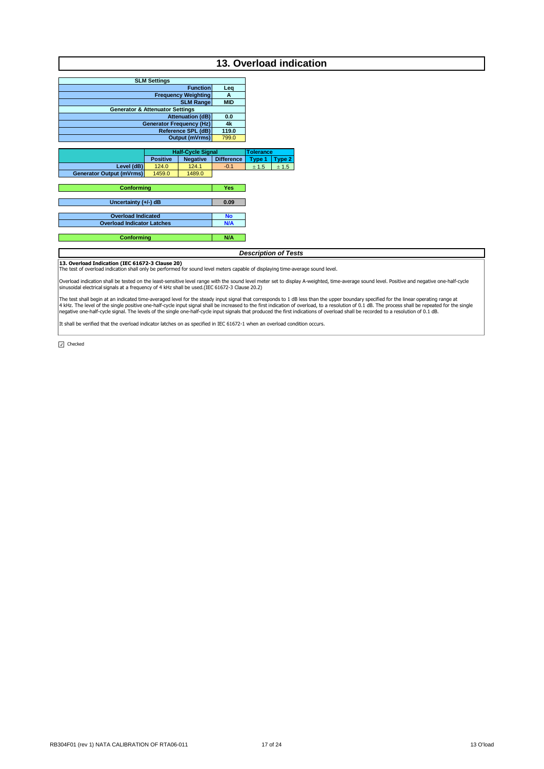|                                                                                                                                |                     |                                 |                         |                             |        | 13. Overload indication                                                                                                                                                                                                                                                                                                                                                                                                                                                                                                                                                             |
|--------------------------------------------------------------------------------------------------------------------------------|---------------------|---------------------------------|-------------------------|-----------------------------|--------|-------------------------------------------------------------------------------------------------------------------------------------------------------------------------------------------------------------------------------------------------------------------------------------------------------------------------------------------------------------------------------------------------------------------------------------------------------------------------------------------------------------------------------------------------------------------------------------|
|                                                                                                                                |                     |                                 |                         |                             |        |                                                                                                                                                                                                                                                                                                                                                                                                                                                                                                                                                                                     |
|                                                                                                                                | <b>SLM Settings</b> |                                 |                         |                             |        |                                                                                                                                                                                                                                                                                                                                                                                                                                                                                                                                                                                     |
|                                                                                                                                |                     | <b>Function</b>                 | Leg                     |                             |        |                                                                                                                                                                                                                                                                                                                                                                                                                                                                                                                                                                                     |
|                                                                                                                                |                     | <b>Frequency Weighting</b>      | A                       |                             |        |                                                                                                                                                                                                                                                                                                                                                                                                                                                                                                                                                                                     |
|                                                                                                                                |                     | <b>SLM Range</b>                | <b>MID</b>              |                             |        |                                                                                                                                                                                                                                                                                                                                                                                                                                                                                                                                                                                     |
| <b>Generator &amp; Attenuator Settings</b>                                                                                     |                     | <b>Attenuation (dB)</b>         | 0.0                     |                             |        |                                                                                                                                                                                                                                                                                                                                                                                                                                                                                                                                                                                     |
|                                                                                                                                |                     | <b>Generator Frequency (Hz)</b> | 4k                      |                             |        |                                                                                                                                                                                                                                                                                                                                                                                                                                                                                                                                                                                     |
|                                                                                                                                |                     | Reference SPL (dB)              | 119.0                   |                             |        |                                                                                                                                                                                                                                                                                                                                                                                                                                                                                                                                                                                     |
|                                                                                                                                |                     | <b>Output (mVrms)</b>           | 799.0                   |                             |        |                                                                                                                                                                                                                                                                                                                                                                                                                                                                                                                                                                                     |
|                                                                                                                                |                     |                                 |                         |                             |        |                                                                                                                                                                                                                                                                                                                                                                                                                                                                                                                                                                                     |
|                                                                                                                                |                     | <b>Half-Cycle Signal</b>        |                         | <b>Tolerance</b>            |        |                                                                                                                                                                                                                                                                                                                                                                                                                                                                                                                                                                                     |
|                                                                                                                                | <b>Positive</b>     | <b>Negative</b>                 | <b>Difference</b>       | Type 1                      | Type 2 |                                                                                                                                                                                                                                                                                                                                                                                                                                                                                                                                                                                     |
| Level (dB)                                                                                                                     | 124.0               | 124.1                           | $-0.1$                  | ± 1.5                       | ± 1.5  |                                                                                                                                                                                                                                                                                                                                                                                                                                                                                                                                                                                     |
| <b>Generator Output (mVrms)</b>                                                                                                | 1459.0              | 1489.0                          |                         |                             |        |                                                                                                                                                                                                                                                                                                                                                                                                                                                                                                                                                                                     |
|                                                                                                                                |                     |                                 |                         |                             |        |                                                                                                                                                                                                                                                                                                                                                                                                                                                                                                                                                                                     |
| <b>Conforming</b>                                                                                                              |                     |                                 | Yes                     |                             |        |                                                                                                                                                                                                                                                                                                                                                                                                                                                                                                                                                                                     |
|                                                                                                                                |                     |                                 |                         |                             |        |                                                                                                                                                                                                                                                                                                                                                                                                                                                                                                                                                                                     |
| Uncertainty (+/-) dB                                                                                                           |                     |                                 | 0.09                    |                             |        |                                                                                                                                                                                                                                                                                                                                                                                                                                                                                                                                                                                     |
| <b>Overload Indicated</b>                                                                                                      |                     |                                 |                         |                             |        |                                                                                                                                                                                                                                                                                                                                                                                                                                                                                                                                                                                     |
| <b>Overload Indicator Latches</b>                                                                                              |                     |                                 | <b>No</b><br><b>N/A</b> |                             |        |                                                                                                                                                                                                                                                                                                                                                                                                                                                                                                                                                                                     |
|                                                                                                                                |                     |                                 |                         |                             |        |                                                                                                                                                                                                                                                                                                                                                                                                                                                                                                                                                                                     |
| <b>Conforming</b>                                                                                                              |                     |                                 | N/A                     |                             |        |                                                                                                                                                                                                                                                                                                                                                                                                                                                                                                                                                                                     |
|                                                                                                                                |                     |                                 |                         |                             |        |                                                                                                                                                                                                                                                                                                                                                                                                                                                                                                                                                                                     |
|                                                                                                                                |                     |                                 |                         | <b>Description of Tests</b> |        |                                                                                                                                                                                                                                                                                                                                                                                                                                                                                                                                                                                     |
| 13. Overload Indication (IEC 61672-3 Clause 20)                                                                                |                     |                                 |                         |                             |        |                                                                                                                                                                                                                                                                                                                                                                                                                                                                                                                                                                                     |
| The test of overload indication shall only be performed for sound level meters capable of displaying time-average sound level. |                     |                                 |                         |                             |        |                                                                                                                                                                                                                                                                                                                                                                                                                                                                                                                                                                                     |
| sinusoidal electrical signals at a frequency of 4 kHz shall be used. (IEC 61672-3 Clause 20.2)                                 |                     |                                 |                         |                             |        | Overload indication shall be tested on the least-sensitive level range with the sound level meter set to display A-weighted, time-average sound level. Positive and negative one-half-cycle                                                                                                                                                                                                                                                                                                                                                                                         |
|                                                                                                                                |                     |                                 |                         |                             |        | The test shall begin at an indicated time-averaged level for the steady input signal that corresponds to 1 dB less than the upper boundary specified for the linear operating range at<br>4 kHz. The level of the single positive one-half-cycle input signal shall be increased to the first indication of overload, to a resolution of 0.1 dB. The process shall be repeated for the single<br>negative one-half-cycle signal. The levels of the single one-half-cycle input signals that produced the first indications of overload shall be recorded to a resolution of 0.1 dB. |

It shall be verified that the overload indicator latches on as specified in IEC 61672-1 when an overload condition occurs.

 $\sqrt{ }$  Checked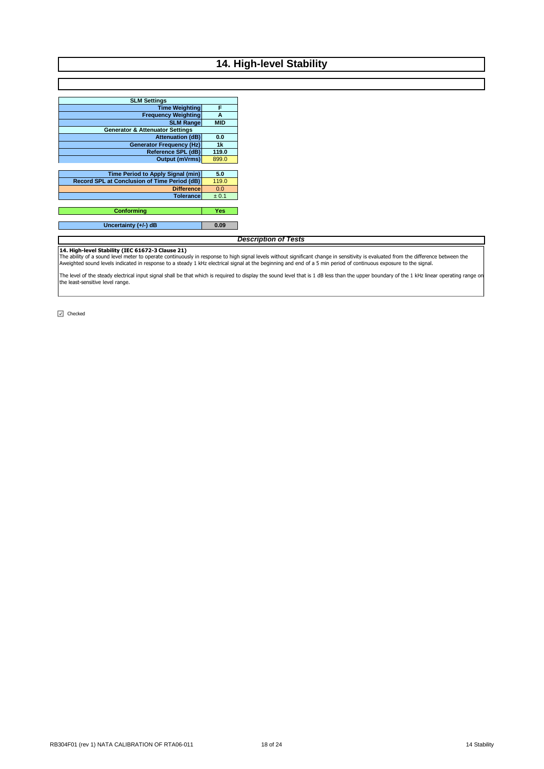## **14. High-level Stability**

| <b>SLM Settings</b>                                 |            |
|-----------------------------------------------------|------------|
| <b>Time Weighting</b>                               | F          |
| <b>Frequency Weighting</b>                          | A          |
| <b>SLM Range</b>                                    | <b>MID</b> |
| <b>Generator &amp; Attenuator Settings</b>          |            |
| <b>Attenuation (dB)</b>                             | 0.0        |
| <b>Generator Frequency (Hz)</b>                     | 1k         |
| Reference SPL (dB)                                  | 119.0      |
| <b>Output (mVrms)</b>                               | 899.0      |
|                                                     |            |
| <b>Time Period to Apply Signal (min)</b>            | 5.0        |
| <b>Record SPL at Conclusion of Time Period (dB)</b> | 119.0      |
| <b>Difference</b>                                   | 0.0        |
| <b>Tolerance</b>                                    | ± 0.1      |
|                                                     |            |
| Conformina                                          | Yes        |
|                                                     |            |
| Uncertainty $(+/-)$ dB                              | 0.09       |

## *Description of Tests*

**14. High-level Stability (IEC 61672-3 Clause 21)**<br>The ability of a sound level meter to operate continuously in response to high signal levels without significant change in sensitivity is evaluated from the difference bet

The level of the steady electrical input signal shall be that which is required to display the sound level that is 1 dB less than the upper boundary of the 1 kHz linear operating range on the least-sensitive level range.

 $\boxed{\triangleleft}$  Checked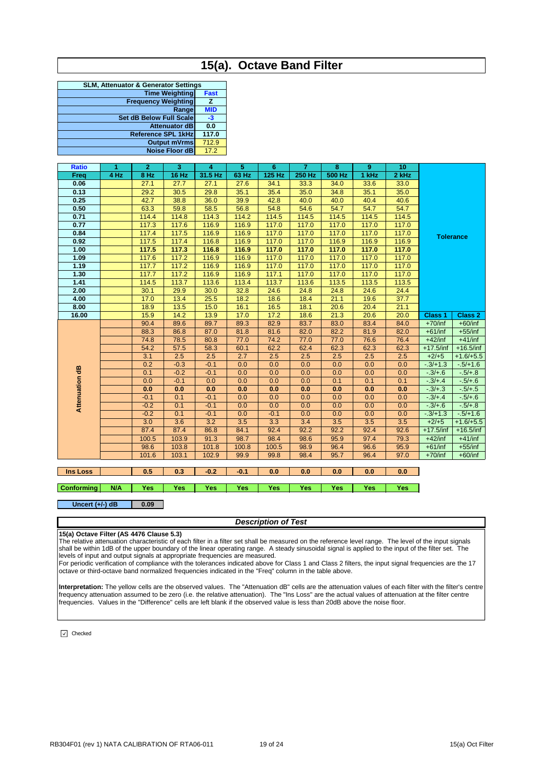## **15(a). Octave Band Filter**

| <b>SLM, Attenuator &amp; Generator Settings</b> |             |  |  |  |  |  |
|-------------------------------------------------|-------------|--|--|--|--|--|
| <b>Time Weighting</b>                           | <b>Fast</b> |  |  |  |  |  |
| <b>Frequency Weighting</b>                      | z           |  |  |  |  |  |
| Range                                           | <b>MID</b>  |  |  |  |  |  |
| <b>Set dB Below Full Scale</b>                  | -3          |  |  |  |  |  |
| <b>Attenuator dB</b>                            | 0.0         |  |  |  |  |  |
| <b>Reference SPL 1kHz</b>                       | 117.0       |  |  |  |  |  |
| <b>Output mVrms</b>                             | 712.9       |  |  |  |  |  |
| <b>Noise Floor dB</b>                           | 17.2        |  |  |  |  |  |
|                                                 |             |  |  |  |  |  |

| <b>Ratio</b>   | 1    | $\mathbf{2}$ | 3            | 4       | 5     | 6      | $\overline{7}$ | 8      | 9     | 10    |                |                  |
|----------------|------|--------------|--------------|---------|-------|--------|----------------|--------|-------|-------|----------------|------------------|
| Freq           | 4 Hz | 8 Hz         | <b>16 Hz</b> | 31.5 Hz | 63 Hz | 125 Hz | 250 Hz         | 500 Hz | 1 kHz | 2 kHz |                |                  |
| 0.06           |      | 27.1         | 27.7         | 27.1    | 27.6  | 34.1   | 33.3           | 34.0   | 33.6  | 33.0  |                |                  |
| 0.13           |      | 29.2         | 30.5         | 29.8    | 35.1  | 35.4   | 35.0           | 34.8   | 35.1  | 35.0  |                |                  |
| 0.25           |      | 42.7         | 38.8         | 36.0    | 39.9  | 42.8   | 40.0           | 40.0   | 40.4  | 40.6  |                |                  |
| 0.50           |      | 63.3         | 59.8         | 58.5    | 56.8  | 54.8   | 54.6           | 54.7   | 54.7  | 54.7  |                |                  |
| 0.71           |      | 114.4        | 114.8        | 114.3   | 114.2 | 114.5  | 114.5          | 114.5  | 114.5 | 114.5 |                |                  |
| 0.77           |      | 117.3        | 117.6        | 116.9   | 116.9 | 117.0  | 117.0          | 117.0  | 117.0 | 117.0 |                |                  |
| 0.84           |      | 117.4        | 117.5        | 116.9   | 116.9 | 117.0  | 117.0          | 117.0  | 117.0 | 117.0 |                | <b>Tolerance</b> |
| 0.92           |      | 117.5        | 117.4        | 116.8   | 116.9 | 117.0  | 117.0          | 116.9  | 116.9 | 116.9 |                |                  |
| 1.00           |      | 117.5        | 117.3        | 116.8   | 116.9 | 117.0  | 117.0          | 117.0  | 117.0 | 117.0 |                |                  |
| 1.09           |      | 117.6        | 117.2        | 116.9   | 116.9 | 117.0  | 117.0          | 117.0  | 117.0 | 117.0 |                |                  |
| 1.19           |      | 117.7        | 117.2        | 116.9   | 116.9 | 117.0  | 117.0          | 117.0  | 117.0 | 117.0 |                |                  |
| 1.30           |      | 117.7        | 117.2        | 116.9   | 116.9 | 117.1  | 117.0          | 117.0  | 117.0 | 117.0 |                |                  |
| 1.41           |      | 114.5        | 113.7        | 113.6   | 113.4 | 113.7  | 113.6          | 113.5  | 113.5 | 113.5 |                |                  |
| 2.00           |      | 30.1         | 29.9         | 30.0    | 32.8  | 24.6   | 24.8           | 24.8   | 24.6  | 24.4  |                |                  |
| 4.00           |      | 17.0         | 13.4         | 25.5    | 18.2  | 18.6   | 18.4           | 21.1   | 19.6  | 37.7  |                |                  |
| 8.00           |      | 18.9         | 13.5         | 15.0    | 16.1  | 16.5   | 18.1           | 20.6   | 20.4  | 21.1  |                |                  |
| 16.00          |      | 15.9         | 14.2         | 13.9    | 17.0  | 17.2   | 18.6           | 21.3   | 20.6  | 20.0  | <b>Class 1</b> | <b>Class 2</b>   |
|                |      | 90.4         | 89.6         | 89.7    | 89.3  | 82.9   | 83.7           | 83.0   | 83.4  | 84.0  | $+70$ /inf     | $+60/inf$        |
|                |      | 88.3         | 86.8         | 87.0    | 81.8  | 81.6   | 82.0           | 82.2   | 81.9  | 82.0  | $+61/inf$      | $+55$ /inf       |
|                |      | 74.8         | 78.5         | 80.8    | 77.0  | 74.2   | 77.0           | 77.0   | 76.6  | 76.4  | $+42$ /inf     | $+41/inf$        |
|                |      | 54.2         | 57.5         | 58.3    | 60.1  | 62.2   | 62.4           | 62.3   | 62.3  | 62.3  | $+17.5$ /inf   | $+16.5/inf$      |
|                |      | 3.1          | 2.5          | 2.5     | 2.7   | 2.5    | 2.5            | 2.5    | 2.5   | 2.5   | $+2/+5$        | $+1.6/+5.5$      |
|                |      | 0.2          | $-0.3$       | $-0.1$  | 0.0   | 0.0    | 0.0            | 0.0    | 0.0   | 0.0   | $-3/+1.3$      | $-5/+1.6$        |
|                |      | 0.1          | $-0.2$       | $-0.1$  | 0.0   | 0.0    | 0.0            | 0.0    | 0.0   | 0.0   | $-3/+6$        | $-5/ + 8$        |
| Attenuation dB |      | 0.0          | $-0.1$       | 0.0     | 0.0   | 0.0    | 0.0            | 0.1    | 0.1   | 0.1   | $-3/44$        | $-5/+6$          |
|                |      | 0.0          | 0.0          | 0.0     | 0.0   | 0.0    | 0.0            | 0.0    | 0.0   | 0.0   | $-3/+3$        | $-5/+5$          |
|                |      | $-0.1$       | 0.1          | $-0.1$  | 0.0   | 0.0    | 0.0            | 0.0    | 0.0   | 0.0   | $-3/+4$        | $-5/+6$          |
|                |      | $-0.2$       | 0.1          | $-0.1$  | 0.0   | 0.0    | 0.0            | 0.0    | 0.0   | 0.0   | $-3/+6$        | $-5/ + 8$        |
|                |      | $-0.2$       | 0.1          | $-0.1$  | 0.0   | $-0.1$ | 0.0            | 0.0    | 0.0   | 0.0   | $-3/+1.3$      | $-5/+1.6$        |
|                |      | 3.0          | 3.6          | 3.2     | 3.5   | 3.3    | 3.4            | 3.5    | 3.5   | 3.5   | $+2/+5$        | $+1.6/+5.5$      |
|                |      | 87.4         | 87.4         | 86.8    | 84.1  | 92.4   | 92.2           | 92.2   | 92.4  | 92.6  | $+17.5/inf$    | $+16.5/inf$      |
|                |      | 100.5        | 103.9        | 91.3    | 98.7  | 98.4   | 98.6           | 95.9   | 97.4  | 79.3  | $+42$ /inf     | $+41/inf$        |
|                |      | 98.6         | 103.8        | 101.8   | 100.8 | 100.5  | 98.9           | 96.4   | 96.6  | 95.9  | $+61/inf$      | $+55$ /inf       |
|                |      | 101.6        | 103.1        | 102.9   | 99.9  | 99.8   | 98.4           | 95.7   | 96.4  | 97.0  | $+70$ /inf     | $+60/inf$        |
|                |      |              |              |         |       |        |                |        |       |       |                |                  |

## **Ins Loss 0.5 0.3 -0.2 -0.1 0.0 0.0 0.0 0.0 0.0**

**Conforming N/A Yes Yes Yes Yes Yes Yes Yes Yes Yes**

#### **0.09 Uncert (+/-) dB**

### *Description of Test*

### **15(a) Octave Filter (AS 4476 Clause 5.3)**

The relative attenuation characteristic of each filter in a filter set shall be measured on the reference level range. The level of the input signals<br>shall be within 1dB of the upper boundary of the linear operating range. levels of input and output signals at appropriate frequencies are measured.

For periodic verification of compliance with the tolerances indicated above for Class 1 and Class 2 filters, the input signal frequencies are the 17 octave or third-octave band normalized frequencies indicated in the "Freq" column in the table above.

**Interpretation:** The yellow cells are the observed values. The "Attenuation dB" cells are the attenuation values of each filter with the filter's centre frequency attenuation assumed to be zero (i.e. the relative attenuation). The "Ins Loss" are the actual values of attenuation at the filter centre frequencies. Values in the "Difference" cells are left blank if the observed value is less than 20dB above the noise floor.

 $\boxed{\vee}$  Checked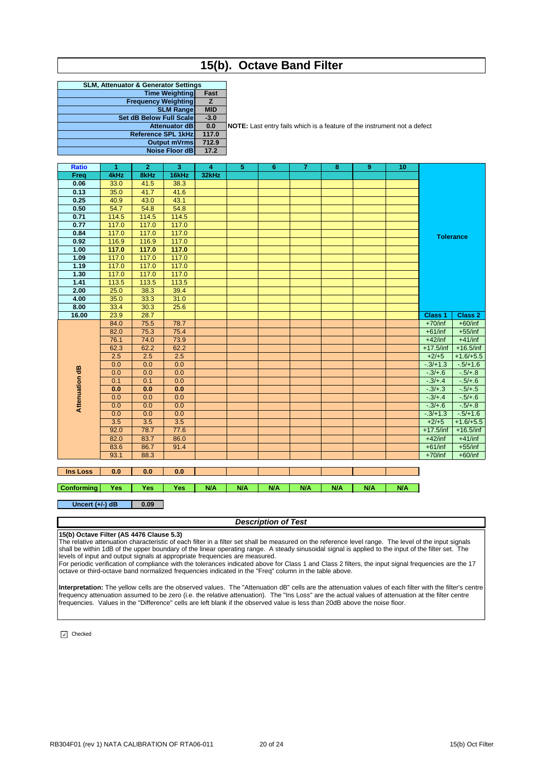## **15(b). Octave Band Filter**

| <b>SLM, Attenuator &amp; Generator Settings</b><br><b>Time Weighting</b><br>Fast<br><b>Frequency Weighting</b><br>Z.<br><b>SLM Range</b><br><b>MID</b><br><b>Set dB Below Full Scale</b><br>$-3.0$ |  |  |  |  |  |  |  |
|----------------------------------------------------------------------------------------------------------------------------------------------------------------------------------------------------|--|--|--|--|--|--|--|
|                                                                                                                                                                                                    |  |  |  |  |  |  |  |
|                                                                                                                                                                                                    |  |  |  |  |  |  |  |
|                                                                                                                                                                                                    |  |  |  |  |  |  |  |
|                                                                                                                                                                                                    |  |  |  |  |  |  |  |
|                                                                                                                                                                                                    |  |  |  |  |  |  |  |
| 0.0<br><b>Attenuator dB</b>                                                                                                                                                                        |  |  |  |  |  |  |  |
| 117.0<br><b>Reference SPL 1kHz</b>                                                                                                                                                                 |  |  |  |  |  |  |  |
| 712.9<br><b>Output mVrms</b>                                                                                                                                                                       |  |  |  |  |  |  |  |
| 17.2<br><b>Noise Floor dB</b>                                                                                                                                                                      |  |  |  |  |  |  |  |

**0.0 NOTE:** Last entry fails which is a feature of the instrument not a defect

| <b>Ratio</b>   | $\blacktriangleleft$ | $\overline{2}$ | 3     | 4     | 5 | 6 | $\overline{7}$ | 8 | 9 | 10 |                |                  |
|----------------|----------------------|----------------|-------|-------|---|---|----------------|---|---|----|----------------|------------------|
| Freq           | 4kHz                 | 8kHz           | 16kHz | 32kHz |   |   |                |   |   |    |                |                  |
| 0.06           | 33.0                 | 41.5           | 38.3  |       |   |   |                |   |   |    |                |                  |
| 0.13           | 35.0                 | 41.7           | 41.6  |       |   |   |                |   |   |    |                |                  |
| 0.25           | 40.9                 | 43.0           | 43.1  |       |   |   |                |   |   |    |                |                  |
| 0.50           | 54.7                 | 54.8           | 54.8  |       |   |   |                |   |   |    |                |                  |
| 0.71           | 114.5                | 114.5          | 114.5 |       |   |   |                |   |   |    |                |                  |
| 0.77           | 117.0                | 117.0          | 117.0 |       |   |   |                |   |   |    |                |                  |
| 0.84           | 117.0                | 117.0          | 117.0 |       |   |   |                |   |   |    |                | <b>Tolerance</b> |
| 0.92           | 116.9                | 116.9          | 117.0 |       |   |   |                |   |   |    |                |                  |
| 1.00           | 117.0                | 117.0          | 117.0 |       |   |   |                |   |   |    |                |                  |
| 1.09           | 117.0                | 117.0          | 117.0 |       |   |   |                |   |   |    |                |                  |
| 1.19           | 117.0                | 117.0          | 117.0 |       |   |   |                |   |   |    |                |                  |
| 1.30           | 117.0                | 117.0          | 117.0 |       |   |   |                |   |   |    |                |                  |
| 1.41           | 113.5                | 113.5          | 113.5 |       |   |   |                |   |   |    |                |                  |
| 2.00           | 25.0                 | 38.3           | 39.4  |       |   |   |                |   |   |    |                |                  |
| 4.00           | 35.0                 | 33.3           | 31.0  |       |   |   |                |   |   |    |                |                  |
| 8.00           | 33.4                 | 30.3           | 25.6  |       |   |   |                |   |   |    |                |                  |
| 16.00          | 23.9                 | 28.7           |       |       |   |   |                |   |   |    | <b>Class 1</b> | <b>Class 2</b>   |
|                | 84.0                 | 75.5           | 78.7  |       |   |   |                |   |   |    | $+70$ /inf     | $+60/inf$        |
|                | 82.0                 | 75.3           | 75.4  |       |   |   |                |   |   |    | $+61/inf$      | $+55/inf$        |
|                | 76.1                 | 74.0           | 73.9  |       |   |   |                |   |   |    | $+42$ /inf     | $+41/inf$        |
|                | 62.3                 | 62.2           | 62.2  |       |   |   |                |   |   |    | $+17.5/inf$    | $+16.5/inf$      |
|                | 2.5                  | 2.5            | 2.5   |       |   |   |                |   |   |    | $+2/+5$        | $+1.6/+5.5$      |
|                | 0.0                  | 0.0            | 0.0   |       |   |   |                |   |   |    | $-3/+1.3$      | $-5/+1.6$        |
| Attenuation dB | 0.0                  | 0.0            | 0.0   |       |   |   |                |   |   |    | $-3/+6$        | $-5/+.8$         |
|                | 0.1                  | 0.1            | 0.0   |       |   |   |                |   |   |    | $-3/4.4$       | $-5/+6$          |
|                | 0.0                  | 0.0            | 0.0   |       |   |   |                |   |   |    | $-3/+3$        | $-5/+5$          |
|                | 0.0                  | 0.0            | 0.0   |       |   |   |                |   |   |    | $-3/4.4$       | $-5/+6$          |
|                | 0.0                  | 0.0            | 0.0   |       |   |   |                |   |   |    | $-3/+.6$       | $-5/ + 8$        |
|                | 0.0                  | 0.0            | 0.0   |       |   |   |                |   |   |    | $-3/+1.3$      | $-5/+1.6$        |
|                | 3.5                  | 3.5            | 3.5   |       |   |   |                |   |   |    | $+2/+5$        | $+1.6/+5.5$      |
|                | 92.0                 | 78.7           | 77.6  |       |   |   |                |   |   |    | $+17.5/inf$    | $+16.5/inf$      |
|                | 82.0                 | 83.7           | 86.0  |       |   |   |                |   |   |    | $+42$ /inf     | $+41/inf$        |
|                | 83.6                 | 86.7           | 91.4  |       |   |   |                |   |   |    | $+61/inf$      | $+55/inf$        |
|                | 93.1                 | 88.3           |       |       |   |   |                |   |   |    | $+70$ /inf     | $+60/inf$        |
|                |                      |                |       |       |   |   |                |   |   |    |                |                  |

**Ins Loss 0.0 0.0 0.0**

**Conforming Yes Yes Yes N/A N/A N/A N/A N/A N/A N/A**

**0.09 Uncert (+/-) dB**

*Description of Test*

**15(b) Octave Filter (AS 4476 Clause 5.3)** The relative attenuation characteristic of each filter in a filter set shall be measured on the reference level range. The level of the input signals shall be within 1dB of the upper boundary of the linear operating range. A steady sinusoidal signal is applied to the input of the filter set. The levels of input and output signals at appropriate frequencies are measured.

For periodic verification of compliance with the tolerances indicated above for Class 1 and Class 2 filters, the input signal frequencies are the 17 octave or third-octave band normalized frequencies indicated in the "Freq" column in the table above.

**Interpretation:** The yellow cells are the observed values. The "Attenuation dB" cells are the attenuation values of each filter with the filter's centre frequency attenuation assumed to be zero (i.e. the relative attenuation). The "Ins Loss" are the actual values of attenuation at the filter centre frequencies. Values in the "Difference" cells are left blank if the observed value is less than 20dB above the noise floor.

 $\sqrt{\phantom{a}}$  Checked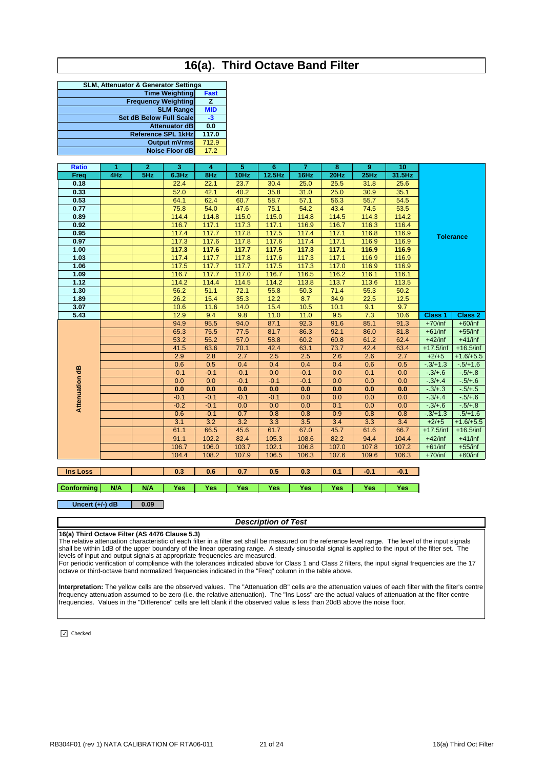## **16(a). Third Octave Band Filter**

| <b>SLM, Attenuator &amp; Generator Settings</b> |             |
|-------------------------------------------------|-------------|
| <b>Time Weighting</b>                           | <b>Fast</b> |
| <b>Frequency Weighting</b>                      | z           |
| <b>SLM Range</b>                                | <b>MID</b>  |
| <b>Set dB Below Full Scale</b>                  | $-3$        |
| <b>Attenuator dB</b>                            | 0.0         |
| <b>Reference SPL 1kHz</b>                       | 117.0       |
| <b>Output mVrms</b>                             | 712.9       |
| Noise Floor dB                                  | 17.2        |
|                                                 |             |

| <b>Ratio</b>   | 1   | $\mathbf{2}$ | 3        | 4      | 5      | $6\phantom{1}$ | $\overline{7}$ | 8           | 9     | 10     |                |                  |
|----------------|-----|--------------|----------|--------|--------|----------------|----------------|-------------|-------|--------|----------------|------------------|
| Freq           | 4Hz | 5Hz          | $6.3$ Hz | 8Hz    | 10Hz   | 12.5Hz         | 16Hz           | <b>20Hz</b> | 25Hz  | 31.5Hz |                |                  |
| 0.18           |     |              | 22.4     | 22.1   | 23.7   | 30.4           | 25.0           | 25.5        | 31.8  | 25.6   |                |                  |
| 0.33           |     |              | 52.0     | 42.1   | 40.2   | 35.8           | 31.0           | 25.0        | 30.9  | 35.1   |                |                  |
| 0.53           |     |              | 64.1     | 62.4   | 60.7   | 58.7           | 57.1           | 56.3        | 55.7  | 54.5   |                |                  |
| 0.77           |     |              | 75.8     | 54.0   | 47.6   | 75.1           | 54.2           | 43.4        | 74.5  | 53.5   |                |                  |
| 0.89           |     |              | 114.4    | 114.8  | 115.0  | 115.0          | 114.8          | 114.5       | 114.3 | 114.2  |                |                  |
| 0.92           |     |              | 116.7    | 117.1  | 117.3  | 117.1          | 116.9          | 116.7       | 116.3 | 116.4  |                |                  |
| 0.95           |     |              | 117.4    | 117.7  | 117.8  | 117.5          | 117.4          | 117.1       | 116.8 | 116.9  |                | <b>Tolerance</b> |
| 0.97           |     |              | 117.3    | 117.6  | 117.8  | 117.6          | 117.4          | 117.1       | 116.9 | 116.9  |                |                  |
| 1.00           |     |              | 117.3    | 117.6  | 117.7  | 117.5          | 117.3          | 117.1       | 116.9 | 116.9  |                |                  |
| 1.03           |     |              | 117.4    | 117.7  | 117.8  | 117.6          | 117.3          | 117.1       | 116.9 | 116.9  |                |                  |
| 1.06           |     |              | 117.5    | 117.7  | 117.7  | 117.5          | 117.3          | 117.0       | 116.9 | 116.9  |                |                  |
| 1.09           |     |              | 116.7    | 117.7  | 117.0  | 116.7          | 116.5          | 116.2       | 116.1 | 116.1  |                |                  |
| 1.12           |     |              | 114.2    | 114.4  | 114.5  | 114.2          | 113.8          | 113.7       | 113.6 | 113.5  |                |                  |
| 1.30           |     |              | 56.2     | 51.1   | 72.1   | 55.8           | 50.3           | 71.4        | 55.3  | 50.2   |                |                  |
| 1.89           |     |              | 26.2     | 15.4   | 35.3   | 12.2           | 8.7            | 34.9        | 22.5  | 12.5   |                |                  |
| 3.07           |     |              | 10.6     | 11.6   | 14.0   | 15.4           | 10.5           | 10.1        | 9.1   | 9.7    |                |                  |
| 5.43           |     |              | 12.9     | 9.4    | 9.8    | 11.0           | 11.0           | 9.5         | 7.3   | 10.6   | <b>Class 1</b> | <b>Class 2</b>   |
|                |     |              | 94.9     | 95.5   | 94.0   | 87.1           | 92.3           | 91.6        | 85.1  | 91.3   | $+70$ /inf     | $+60/inf$        |
|                |     |              | 65.3     | 75.5   | 77.5   | 81.7           | 86.3           | 92.1        | 86.0  | 81.8   | $+61/inf$      | $+55$ /inf       |
|                |     |              | 53.2     | 55.2   | 57.0   | 58.8           | 60.2           | 60.8        | 61.2  | 62.4   | $+42$ /inf     | $+41/inf$        |
|                |     |              | 41.5     | 63.6   | 70.1   | 42.4           | 63.1           | 73.7        | 42.4  | 63.4   | $+17.5$ /inf   | $+16.5/inf$      |
|                |     |              | 2.9      | 2.8    | 2.7    | 2.5            | 2.5            | 2.6         | 2.6   | 2.7    | $+2/+5$        | $+1.6/+5.5$      |
|                |     |              | 0.6      | 0.5    | 0.4    | 0.4            | 0.4            | 0.4         | 0.6   | 0.5    | $-3/+1.3$      | $-5/+1.6$        |
|                |     |              | $-0.1$   | $-0.1$ | $-0.1$ | 0.0            | $-0.1$         | 0.0         | 0.1   | 0.0    | $-3/+6$        | $-5/ + 8$        |
|                |     |              | 0.0      | 0.0    | $-0.1$ | $-0.1$         | $-0.1$         | 0.0         | 0.0   | 0.0    | $-3/4.4$       | $-5/+6$          |
|                |     |              | 0.0      | 0.0    | 0.0    | 0.0            | 0.0            | 0.0         | 0.0   | 0.0    | $-3/+3$        | $-5/+5$          |
| Attenuation dB |     |              | $-0.1$   | $-0.1$ | $-0.1$ | $-0.1$         | 0.0            | 0.0         | 0.0   | 0.0    | $-3/4.4$       | $-5/+6$          |
|                |     |              | $-0.2$   | $-0.1$ | 0.0    | 0.0            | 0.0            | 0.1         | 0.0   | 0.0    | $-3/+6$        | $-5/ + 8$        |
|                |     |              | 0.6      | $-0.1$ | 0.7    | 0.8            | 0.8            | 0.9         | 0.8   | 0.8    | $-3/+1.3$      | $-5/+1.6$        |
|                |     |              | 3.1      | 3.2    | 3.2    | 3.3            | 3.5            | 3.4         | 3.3   | 3.4    | $+2/+5$        | $+1.6/+5.5$      |
|                |     |              | 61.1     | 66.5   | 45.6   | 61.7           | 67.0           | 45.7        | 61.6  | 66.7   | $+17.5/inf$    | $+16.5/inf$      |
|                |     |              | 91.1     | 102.2  | 82.4   | 105.3          | 108.6          | 82.2        | 94.4  | 104.4  | $+42$ /inf     | $+41/inf$        |
|                |     |              | 106.7    | 106.0  | 103.7  | 102.1          | 106.8          | 107.0       | 107.8 | 107.2  | $+61/inf$      | $+55/inf$        |
|                |     |              | 104.4    | 108.2  | 107.9  | 106.5          | 106.3          | 107.6       | 109.6 | 106.3  | $+70$ /inf     | $+60/inf$        |

## **Ins Loss 0.3 0.6 0.7 0.5 0.3 0.1 -0.1 -0.1**

**Conforming N/A N/A Yes Yes Yes Yes Yes Yes Yes Yes**

#### **0.09 Uncert (+/-) dB**

### *Description of Test*

## **16(a) Third Octave Filter (AS 4476 Clause 5.3)**

The relative attenuation characteristic of each filter in a filter set shall be measured on the reference level range. The level of the input signals<br>shall be within 1dB of the upper boundary of the linear operating range. levels of input and output signals at appropriate frequencies are measured.

For periodic verification of compliance with the tolerances indicated above for Class 1 and Class 2 filters, the input signal frequencies are the 17 octave or third-octave band normalized frequencies indicated in the "Freq" column in the table above.

**Interpretation:** The yellow cells are the observed values. The "Attenuation dB" cells are the attenuation values of each filter with the filter's centre frequency attenuation assumed to be zero (i.e. the relative attenuation). The "Ins Loss" are the actual values of attenuation at the filter centre frequencies. Values in the "Difference" cells are left blank if the observed value is less than 20dB above the noise floor.

 $\boxed{\vee}$  Checked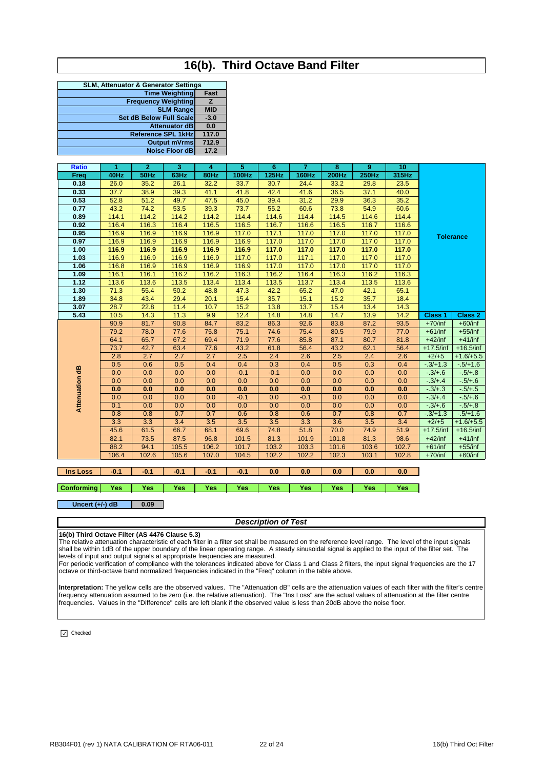## **16(b). Third Octave Band Filter**

| <b>SLM, Attenuator &amp; Generator Settings</b> |                |  |  |  |  |  |  |
|-------------------------------------------------|----------------|--|--|--|--|--|--|
| <b>Time Weighting</b>                           | Fast           |  |  |  |  |  |  |
| <b>Frequency Weighting</b>                      | $\overline{z}$ |  |  |  |  |  |  |
| <b>SLM Range</b>                                | <b>MID</b>     |  |  |  |  |  |  |
| <b>Set dB Below Full Scale</b>                  | $-3.0$         |  |  |  |  |  |  |
| <b>Attenuator dB</b>                            | 0.0            |  |  |  |  |  |  |
| <b>Reference SPL 1kHz</b>                       | 117.0          |  |  |  |  |  |  |
| <b>Output mVrms</b>                             | 712.9          |  |  |  |  |  |  |
| <b>Noise Floor dB</b>                           | 17.2           |  |  |  |  |  |  |
|                                                 |                |  |  |  |  |  |  |

| <b>Ratio</b>   | 1     | $\overline{2}$ | 3     | 4     | 5            | $6\phantom{1}$ | $\overline{7}$ | 8            | 9            | 10    |                |                  |
|----------------|-------|----------------|-------|-------|--------------|----------------|----------------|--------------|--------------|-------|----------------|------------------|
| Freq           | 40Hz  | 50Hz           | 63Hz  | 80Hz  | <b>100Hz</b> | 125Hz          | <b>160Hz</b>   | <b>200Hz</b> | <b>250Hz</b> | 315Hz |                |                  |
| 0.18           | 26.0  | 35.2           | 26.1  | 32.2  | 33.7         | 30.7           | 24.4           | 33.2         | 29.8         | 23.5  |                |                  |
| 0.33           | 37.7  | 38.9           | 39.3  | 41.1  | 41.8         | 42.4           | 41.6           | 36.5         | 37.1         | 40.0  |                |                  |
| 0.53           | 52.8  | 51.2           | 49.7  | 47.5  | 45.0         | 39.4           | 31.2           | 29.9         | 36.3         | 35.2  |                |                  |
| 0.77           | 43.2  | 74.2           | 53.5  | 39.3  | 73.7         | 55.2           | 60.6           | 73.8         | 54.9         | 60.6  |                |                  |
| 0.89           | 114.1 | 114.2          | 114.2 | 114.2 | 114.4        | 114.6          | 114.4          | 114.5        | 114.6        | 114.4 |                |                  |
| 0.92           | 116.4 | 116.3          | 116.4 | 116.5 | 116.5        | 116.7          | 116.6          | 116.5        | 116.7        | 116.6 |                |                  |
| 0.95           | 116.9 | 116.9          | 116.9 | 116.9 | 117.0        | 117.1          | 117.0          | 117.0        | 117.0        | 117.0 |                | <b>Tolerance</b> |
| 0.97           | 116.9 | 116.9          | 116.9 | 116.9 | 116.9        | 117.0          | 117.0          | 117.0        | 117.0        | 117.0 |                |                  |
| 1.00           | 116.9 | 116.9          | 116.9 | 116.9 | 116.9        | 117.0          | 117.0          | 117.0        | 117.0        | 117.0 |                |                  |
| 1.03           | 116.9 | 116.9          | 116.9 | 116.9 | 117.0        | 117.0          | 117.1          | 117.0        | 117.0        | 117.0 |                |                  |
| 1.06           | 116.8 | 116.9          | 116.9 | 116.9 | 116.9        | 117.0          | 117.0          | 117.0        | 117.0        | 117.0 |                |                  |
| 1.09           | 116.1 | 116.1          | 116.2 | 116.2 | 116.3        | 116.2          | 116.4          | 116.3        | 116.2        | 116.3 |                |                  |
| 1.12           | 113.6 | 113.6          | 113.5 | 113.4 | 113.4        | 113.5          | 113.7          | 113.4        | 113.5        | 113.6 |                |                  |
| 1.30           | 71.3  | 55.4           | 50.2  | 48.8  | 47.3         | 42.2           | 65.2           | 47.0         | 42.1         | 65.1  |                |                  |
| 1.89           | 34.8  | 43.4           | 29.4  | 20.1  | 15.4         | 35.7           | 15.1           | 15.2         | 35.7         | 18.4  |                |                  |
| 3.07           | 28.7  | 22.8           | 11.4  | 10.7  | 15.2         | 13.8           | 13.7           | 15.4         | 13.4         | 14.3  |                |                  |
| 5.43           | 10.5  | 14.3           | 11.3  | 9.9   | 12.4         | 14.8           | 14.8           | 14.7         | 13.9         | 14.2  | <b>Class 1</b> | Class 2          |
|                | 90.9  | 81.7           | 90.8  | 84.7  | 83.2         | 86.3           | 92.6           | 83.8         | 87.2         | 93.5  | $+70$ /inf     | $+60/inf$        |
|                | 79.2  | 78.0           | 77.6  | 75.8  | 75.1         | 74.6           | 75.4           | 80.5         | 79.9         | 77.0  | $+61/inf$      | $+55$ /inf       |
|                | 64.1  | 65.7           | 67.2  | 69.4  | 71.9         | 77.6           | 85.8           | 87.1         | 80.7         | 81.8  | $+42$ /inf     | $+41/inf$        |
|                | 73.7  | 42.7           | 63.4  | 77.6  | 43.2         | 61.8           | 56.4           | 43.2         | 62.1         | 56.4  | $+17.5$ /inf   | $+16.5$ /inf     |
|                | 2.8   | 2.7            | 2.7   | 2.7   | 2.5          | 2.4            | 2.6            | 2.5          | 2.4          | 2.6   | $+2/+5$        | $+1.6/+5.5$      |
|                | 0.5   | 0.6            | 0.5   | 0.4   | 0.4          | 0.3            | 0.4            | 0.5          | 0.3          | 0.4   | $-3/+1.3$      | $-5/+1.6$        |
| Attenuation dB | 0.0   | 0.0            | 0.0   | 0.0   | $-0.1$       | $-0.1$         | 0.0            | 0.0          | 0.0          | 0.0   | $-3/+6$        | $-5/ + 8$        |
|                | 0.0   | 0.0            | 0.0   | 0.0   | 0.0          | 0.0            | 0.0            | 0.0          | 0.0          | 0.0   | $-3/4.4$       | $-5/+6$          |
|                | 0.0   | 0.0            | 0.0   | 0.0   | 0.0          | 0.0            | 0.0            | 0.0          | 0.0          | 0.0   | $-3/+3$        | $-5/+5$          |
|                | 0.0   | 0.0            | 0.0   | 0.0   | $-0.1$       | 0.0            | $-0.1$         | 0.0          | 0.0          | 0.0   | $-3/4.4$       | $-5/+6$          |
|                | 0.1   | 0.0            | 0.0   | 0.0   | 0.0          | 0.0            | 0.0            | 0.0          | 0.0          | 0.0   | $-3/+6$        | $-5/ + 8$        |
|                | 0.8   | 0.8            | 0.7   | 0.7   | 0.6          | 0.8            | 0.6            | 0.7          | 0.8          | 0.7   | $-3/+1.3$      | $-5/+1.6$        |
|                | 3.3   | 3.3            | 3.4   | 3.5   | 3.5          | 3.5            | 3.3            | 3.6          | 3.5          | 3.4   | $+2/+5$        | $+1.6/+5.5$      |
|                | 45.6  | 61.5           | 66.7  | 68.1  | 69.6         | 74.8           | 51.8           | 70.0         | 74.9         | 51.9  | $+17.5$ /inf   | $+16.5/inf$      |
|                | 82.1  | 73.5           | 87.5  | 96.8  | 101.5        | 81.3           | 101.9          | 101.8        | 81.3         | 98.6  | $+42$ /inf     | $+41/inf$        |
|                | 88.2  | 94.1           | 105.5 | 106.2 | 101.7        | 103.2          | 103.3          | 101.6        | 103.6        | 102.7 | $+61/inf$      | $+55$ /inf       |
|                | 106.4 | 102.6          | 105.6 | 107.0 | 104.5        | 102.2          | 102.2          | 102.3        | 103.1        | 102.8 | $+70$ /inf     | $+60/inf$        |

## **Ins Loss -0.1 -0.1 -0.1 -0.1 -0.1 0.0 0.0 0.0 0.0 0.0**

**Conforming Yes Yes Yes Yes Yes Yes Yes Yes Yes Yes**

### **Uncert (+/-) dB 0.09**

### *Description of Test*

**16(b) Third Octave Filter (AS 4476 Clause 5.3)** The relative attenuation characteristic of each filter in a filter set shall be measured on the reference level range. The level of the input signals shall be within 1dB of the upper boundary of the linear operating range. A steady sinusoidal signal is applied to the input of the filter set. The levels of input and output signals at appropriate frequencies are measured.

For periodic verification of compliance with the tolerances indicated above for Class 1 and Class 2 filters, the input signal frequencies are the 17 octave or third-octave band normalized frequencies indicated in the "Freq" column in the table above.

**Interpretation:** The yellow cells are the observed values. The "Attenuation dB" cells are the attenuation values of each filter with the filter's centre frequency attenuation assumed to be zero (i.e. the relative attenuation). The "Ins Loss" are the actual values of attenuation at the filter centre frequencies. Values in the "Difference" cells are left blank if the observed value is less than 20dB above the noise floor.

 $\boxed{\vee}$  Checked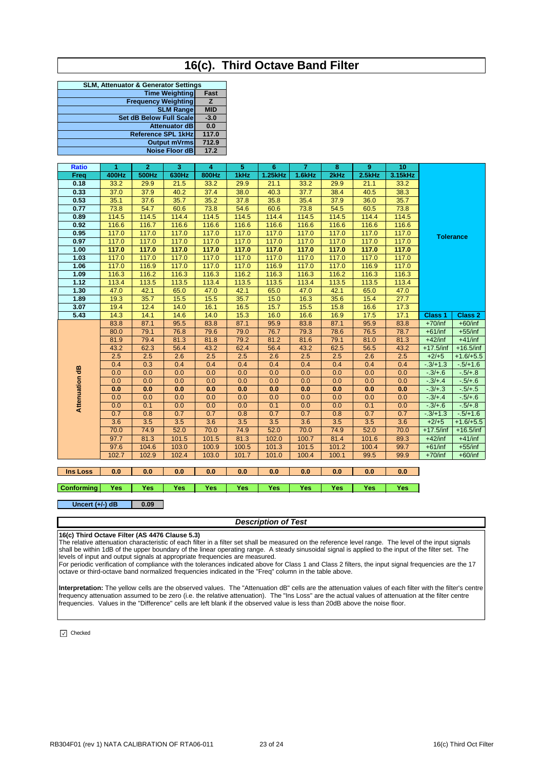## **16(c). Third Octave Band Filter**

| <b>SLM, Attenuator &amp; Generator Settings</b> |                |  |  |  |  |  |  |
|-------------------------------------------------|----------------|--|--|--|--|--|--|
| <b>Time Weighting</b>                           | Fast           |  |  |  |  |  |  |
| <b>Frequency Weighting</b>                      | $\overline{z}$ |  |  |  |  |  |  |
| <b>SLM Range</b>                                | <b>MID</b>     |  |  |  |  |  |  |
| Set dB Below Full Scale                         | $-3.0$         |  |  |  |  |  |  |
| <b>Attenuator dB</b>                            | 0.0            |  |  |  |  |  |  |
| <b>Reference SPL 1kHz</b>                       | 117.0          |  |  |  |  |  |  |
| <b>Output mVrms</b>                             | 712.9          |  |  |  |  |  |  |
| <b>Noise Floor dB</b>                           | 17.2           |  |  |  |  |  |  |
|                                                 |                |  |  |  |  |  |  |

| <b>Ratio</b>   | 1     | $\mathbf{2}$ | 3     | 4     | 5     | 6       | $\overline{7}$ | 8     | 9      | 10      |                  |                    |
|----------------|-------|--------------|-------|-------|-------|---------|----------------|-------|--------|---------|------------------|--------------------|
| Freq           | 400Hz | 500Hz        | 630Hz | 800Hz | 1kHz  | 1.25kHz | 1.6kHz         | 2kHz  | 2.5kHz | 3.15kHz |                  |                    |
| 0.18           | 33.2  | 29.9         | 21.5  | 33.2  | 29.9  | 21.1    | 33.2           | 29.9  | 21.1   | 33.2    |                  |                    |
| 0.33           | 37.0  | 37.9         | 40.2  | 37.4  | 38.0  | 40.3    | 37.7           | 38.4  | 40.5   | 38.3    | <b>Tolerance</b> |                    |
| 0.53           | 35.1  | 37.6         | 35.7  | 35.2  | 37.8  | 35.8    | 35.4           | 37.9  | 36.0   | 35.7    |                  |                    |
| 0.77           | 73.8  | 54.7         | 60.6  | 73.8  | 54.6  | 60.6    | 73.8           | 54.5  | 60.5   | 73.8    |                  |                    |
| 0.89           | 114.5 | 114.5        | 114.4 | 114.5 | 114.5 | 114.4   | 114.5          | 114.5 | 114.4  | 114.5   |                  |                    |
| 0.92           | 116.6 | 116.7        | 116.6 | 116.6 | 116.6 | 116.6   | 116.6          | 116.6 | 116.6  | 116.6   |                  |                    |
| 0.95           | 117.0 | 117.0        | 117.0 | 117.0 | 117.0 | 117.0   | 117.0          | 117.0 | 117.0  | 117.0   |                  |                    |
| 0.97           | 117.0 | 117.0        | 117.0 | 117.0 | 117.0 | 117.0   | 117.0          | 117.0 | 117.0  | 117.0   |                  |                    |
| 1.00           | 117.0 | 117.0        | 117.0 | 117.0 | 117.0 | 117.0   | 117.0          | 117.0 | 117.0  | 117.0   |                  |                    |
| 1.03           | 117.0 | 117.0        | 117.0 | 117.0 | 117.0 | 117.0   | 117.0          | 117.0 | 117.0  | 117.0   |                  |                    |
| 1.06           | 117.0 | 116.9        | 117.0 | 117.0 | 117.0 | 116.9   | 117.0          | 117.0 | 116.9  | 117.0   |                  |                    |
| 1.09           | 116.3 | 116.2        | 116.3 | 116.3 | 116.2 | 116.3   | 116.3          | 116.2 | 116.3  | 116.3   |                  |                    |
| 1.12           | 113.4 | 113.5        | 113.5 | 113.4 | 113.5 | 113.5   | 113.4          | 113.5 | 113.5  | 113.4   |                  |                    |
| 1.30           | 47.0  | 42.1         | 65.0  | 47.0  | 42.1  | 65.0    | 47.0           | 42.1  | 65.0   | 47.0    |                  |                    |
| 1.89           | 19.3  | 35.7         | 15.5  | 15.5  | 35.7  | 15.0    | 16.3           | 35.6  | 15.4   | 27.7    |                  |                    |
| 3.07           | 19.4  | 12.4         | 14.0  | 16.1  | 16.5  | 15.7    | 15.5           | 15.8  | 16.6   | 17.3    |                  |                    |
| 5.43           | 14.3  | 14.1         | 14.6  | 14.0  | 15.3  | 16.0    | 16.6           | 16.9  | 17.5   | 17.1    | <b>Class 1</b>   | Class <sub>2</sub> |
|                | 83.8  | 87.1         | 95.5  | 83.8  | 87.1  | 95.9    | 83.8           | 87.1  | 95.9   | 83.8    | $+70$ /inf       | $+60/inf$          |
|                | 80.0  | 79.1         | 76.8  | 79.6  | 79.0  | 76.7    | 79.3           | 78.6  | 76.5   | 78.7    | $+61/inf$        | $+55/inf$          |
|                | 81.9  | 79.4         | 81.3  | 81.8  | 79.2  | 81.2    | 81.6           | 79.1  | 81.0   | 81.3    | $+42$ /inf       | $+41/inf$          |
|                | 43.2  | 62.3         | 56.4  | 43.2  | 62.4  | 56.4    | 43.2           | 62.5  | 56.5   | 43.2    | $+17.5$ /inf     | $+16.5/inf$        |
|                | 2.5   | 2.5          | 2.6   | 2.5   | 2.5   | 2.6     | 2.5            | 2.5   | 2.6    | 2.5     | $+2/+5$          | $+1.6/+5.5$        |
|                | 0.4   | 0.3          | 0.4   | 0.4   | 0.4   | 0.4     | 0.4            | 0.4   | 0.4    | 0.4     | $-3/+1.3$        | $-5/+1.6$          |
|                | 0.0   | 0.0          | 0.0   | 0.0   | 0.0   | 0.0     | 0.0            | 0.0   | 0.0    | 0.0     | $-3/+6$          | $-5/ + 8$          |
|                | 0.0   | 0.0          | 0.0   | 0.0   | 0.0   | 0.0     | 0.0            | 0.0   | 0.0    | 0.0     | $-3/4.4$         | $-5/+6$            |
|                | 0.0   | 0.0          | 0.0   | 0.0   | 0.0   | 0.0     | 0.0            | 0.0   | 0.0    | 0.0     | $-3/4.3$         | $-5/+5$            |
|                | 0.0   | 0.0          | 0.0   | 0.0   | 0.0   | 0.0     | 0.0            | 0.0   | 0.0    | 0.0     | $-3/4.4$         | $-5/+6$            |
| Attenuation dB | 0.0   | 0.1          | 0.0   | 0.0   | 0.0   | 0.1     | 0.0            | 0.0   | 0.1    | 0.0     | $-3/+6$          | $-5/ + 8$          |
|                | 0.7   | 0.8          | 0.7   | 0.7   | 0.8   | 0.7     | 0.7            | 0.8   | 0.7    | 0.7     | $-3/+1.3$        | $-5/+1.6$          |
|                | 3.6   | 3.5          | 3.5   | 3.6   | 3.5   | 3.5     | 3.6            | 3.5   | 3.5    | 3.6     | $+2/+5$          | $+1.6/+5.5$        |
|                | 70.0  | 74.9         | 52.0  | 70.0  | 74.9  | 52.0    | 70.0           | 74.9  | 52.0   | 70.0    | $+17.5/inf$      | $+16.5/inf$        |
|                | 97.7  | 81.3         | 101.5 | 101.5 | 81.3  | 102.0   | 100.7          | 81.4  | 101.6  | 89.3    | $+42$ /inf       | $+41/inf$          |
|                | 97.6  | 104.6        | 103.0 | 100.9 | 100.5 | 101.3   | 101.5          | 101.2 | 100.4  | 99.7    | $+61/inf$        | $+55$ /inf         |
|                | 102.7 | 102.9        | 102.4 | 103.0 | 101.7 | 101.0   | 100.4          | 100.1 | 99.5   | 99.9    | $+70$ /inf       | $+60/inf$          |

## **Ins Loss 0.0 0.0 0.0 0.0 0.0 0.0 0.0 0.0 0.0 0.0**

**Conforming Yes Yes Yes Yes Yes Yes Yes Yes Yes Yes**

**0.09 Uncert (+/-) dB**

### *Description of Test*

### **16(c) Third Octave Filter (AS 4476 Clause 5.3)**

The relative attenuation characteristic of each filter in a filter set shall be measured on the reference level range. The level of the input signals shall be within 1dB of the upper boundary of the linear operating range. A steady sinusoidal signal is applied to the input of the filter set. The levels of input and output signals at appropriate frequencies are measured.

For periodic verification of compliance with the tolerances indicated above for Class 1 and Class 2 filters, the input signal frequencies are the 17 octave or third-octave band normalized frequencies indicated in the "Freq" column in the table above.

**Interpretation:** The yellow cells are the observed values. The "Attenuation dB" cells are the attenuation values of each filter with the filter's centre frequency attenuation assumed to be zero (i.e. the relative attenuation). The "Ins Loss" are the actual values of attenuation at the filter centre frequencies. Values in the "Difference" cells are left blank if the observed value is less than 20dB above the noise floor.